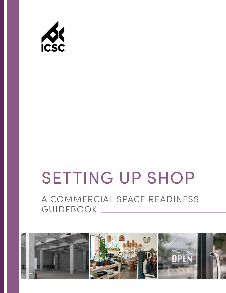

# SETTING UP SHOP

## A COMMERCIAL SPACE READINESS GUIDEBOOK \_\_\_\_\_

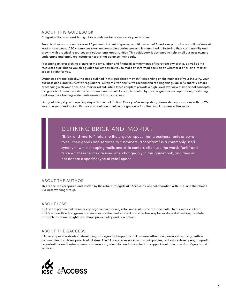#### ABOUT THIS GUIDEBOOK

Congratulations on considering a brick-and-mortar presence for your business!

Small businesses account for over 95 percent of all retail spaces, and 91 percent of Americans patronize a small business at least once a week. ICSC champions small and emerging businesses and is committed to fostering their sustainability and growth with practical resources and educational opportunities. This guidebook is designed to help small business owners understand and apply real estate concepts that advance their goals.

Presenting an overarching picture of the time, labor and financial commitments of storefront ownership, as well as the resources available to you, this guidebook empowers you to make an informed decision on whether a brick-and-mortar space is right for you.

Organized chronologically, the steps outlined in this guidebook may shift depending on the nuances of your industry, your business goals and your state's regulations. Given this variability, we recommend reading this guide in its entirety before proceeding with your brick-and-mortar rollout. While these chapters provide a high-level overview of important concepts, this guidebook is not an exhaustive resource and should be supplemented by specific guidance on operations, marketing and employee training — elements essential to your success.

Our goal is to get you to opening day with minimal friction. Once you've set up shop, please share your stories with us! We welcome your feedback so that we can continue to refine our guidance for other small businesses like yours.

### DEFINING BRICK-AND-MORTAR

"Brick-and-mortar" refers to the physical space that a business rents or owns to sell their goods and services to customers. "Storefront" is a commonly used synonym, while shopping malls and strip centers often use the words "unit" and "space." These terms are used interchangeably in this guidebook, and they do not denote a specific type of retail space.

#### ABOUT THE AUTHOR

This report was prepared and written by the retail strategists at [&Access](https://andaccess.com/about) in close collaboration with ICSC and their Small Business Working Group.

#### ABOUT ICSC

ICSC is the preeminent membership organization serving retail and real estate professionals. Our members believe ICSC's unparalleled programs and services are the most efficient and effective way to develop relationships, facilitate transactions, share insights and shape public policy and perception.

#### ABOUT THE &ACCESS

&Access is passionate about developing strategies that support small business attraction, preservation and growth in communities and developments of all sizes. The &Access team works with municipalities, real estate developers, nonprofit organizations and business owners on research, education and strategies that support equitable provision of goods and services.

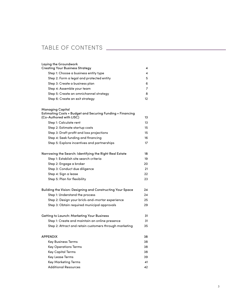### TABLE OF CONTENTS

| Laying the Groundwork<br><b>Creating Your Business Strategy</b>                              | 4      |
|----------------------------------------------------------------------------------------------|--------|
|                                                                                              |        |
| Step 1: Choose a business entity type<br>Step 2: Form a legal and protected entity           | 4<br>5 |
| Step 3: Create a business plan                                                               | 6      |
|                                                                                              | 7      |
| Step 4: Assemble your team                                                                   |        |
| Step 5: Create an omnichannel strategy                                                       | 8      |
| Step 6: Create an exit strategy                                                              | 12     |
| <b>Managing Capital</b>                                                                      |        |
| <b>Estimating Costs + Budget and Securing Funding + Financing</b><br>(Co-Authored with LISC) | 13     |
| Step 1: Calculate rent                                                                       | 13     |
| Step 2: Estimate startup costs                                                               | 15     |
| Step 3: Draft profit and loss projections                                                    | 15     |
| Step 4: Seek funding and financing                                                           | 16     |
| Step 5: Explore incentives and partnerships                                                  | 17     |
| Narrowing the Search: Identifying the Right Real Estate                                      | 18     |
| Step 1: Establish site search criteria                                                       | 19     |
| Step 2: Engage a broker                                                                      | 20     |
| Step 3: Conduct due diligence                                                                | 21     |
| Step 4: Sign a lease                                                                         | 22     |
| Step 5: Plan for flexibility                                                                 | 23     |
| Building the Vision: Designing and Constructing Your Space                                   | 24     |
| Step 1: Understand the process                                                               | 24     |
| Step 2: Design your brick-and-mortar experience                                              | 25     |
| Step 3: Obtain required municipal approvals                                                  | 29     |
| <b>Getting to Launch: Marketing Your Business</b>                                            | 31     |
| Step 1: Create and maintain an online presence                                               | 31     |
| Step 2: Attract and retain customers through marketing                                       | 35     |
| <b>APPENDIX</b>                                                                              | 38     |
| <b>Key Business Terms</b>                                                                    | 38     |
| <b>Key Operations Terms</b>                                                                  | 38     |
| <b>Key Capital Terms</b>                                                                     | 38     |
| Key Lease Terms                                                                              | 39     |
| Key Marketing Terms                                                                          | 41     |
| <b>Additional Resources</b>                                                                  | 42     |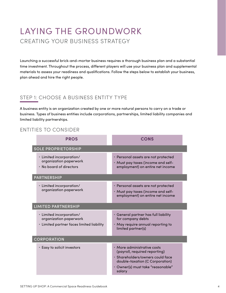## <span id="page-3-0"></span>LAYING THE GROUNDWORK CREATING YOUR BUSINESS STRATEGY

Launching a successful brick-and-mortar business requires a thorough business plan and a substantial time investment. Throughout the process, different players will use your business plan and supplemental materials to assess your readiness and qualifications. Follow the steps below to establish your business, plan ahead and hire the right people.

### STEP 1: CHOOSE A BUSINESS ENTITY TYPE

A business entity is an organization created by one or more natural persons to carry on a trade or business. Types of business entities include corporations, partnerships, limited liability companies and limited liability partnerships.

### ENTITIES TO CONSIDER

| <b>PROS</b>                                                                                     | <b>CONS</b>                                                                                                                                                                        |  |
|-------------------------------------------------------------------------------------------------|------------------------------------------------------------------------------------------------------------------------------------------------------------------------------------|--|
| <b>SOLE PROPRIETORSHIP</b>                                                                      |                                                                                                                                                                                    |  |
| • Limited incorporation/<br>organization paperwork<br>• No board of directors                   | • Personal assets are not protected<br>• Must pay taxes (income and self-<br>employment) on entire net income                                                                      |  |
| <b>PARTNERSHIP</b>                                                                              |                                                                                                                                                                                    |  |
| • Limited incorporation/<br>organization paperwork                                              | • Personal assets are not protected<br>• Must pay taxes (income and self-<br>employment) on entire net income                                                                      |  |
| <b>LIMITED PARTNERSHIP</b>                                                                      |                                                                                                                                                                                    |  |
| • Limited incorporation/<br>organization paperwork<br>• Limited partner faces limited liability | • General partner has full liability<br>for company debts<br>• May require annual reporting to                                                                                     |  |
|                                                                                                 | limited partner(s)                                                                                                                                                                 |  |
| <b>CORPORATION</b>                                                                              |                                                                                                                                                                                    |  |
| • Easy to solicit investors                                                                     | • More administrative costs<br>(payroll, required reporting)<br>• Shareholders/owners could face<br>double-taxation (C Corporation)<br>• Owner(s) must take "reasonable"<br>salary |  |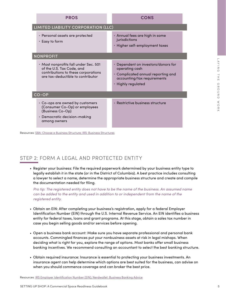|                                                                                                                                                                                                                                                                                                                                       | <b>CONS</b>                                                                                                                                                                                                                                                                                                                                                                                |
|---------------------------------------------------------------------------------------------------------------------------------------------------------------------------------------------------------------------------------------------------------------------------------------------------------------------------------------|--------------------------------------------------------------------------------------------------------------------------------------------------------------------------------------------------------------------------------------------------------------------------------------------------------------------------------------------------------------------------------------------|
| LIMITED LIABILITY CORPORATION (LLC)                                                                                                                                                                                                                                                                                                   |                                                                                                                                                                                                                                                                                                                                                                                            |
| • Personal assets are protected<br>• Easy to form                                                                                                                                                                                                                                                                                     | • Annual fees are high in some<br>jurisdictions<br>• Higher self-employment taxes                                                                                                                                                                                                                                                                                                          |
| <b>NONPROFIT</b>                                                                                                                                                                                                                                                                                                                      |                                                                                                                                                                                                                                                                                                                                                                                            |
| • Most nonprofits fall under Sec. 501<br>of the U.S. Tax Code, and<br>contributions to these corporations<br>are tax-deductible to contributor                                                                                                                                                                                        | • Dependent on investors/donors for<br>operating cash<br>• Complicated annual reporting and<br>accounting/tax requirements<br>• Highly regulated                                                                                                                                                                                                                                           |
| CO-OP                                                                                                                                                                                                                                                                                                                                 |                                                                                                                                                                                                                                                                                                                                                                                            |
| * Co-ops are owned by customers<br>(Consumer Co-Op) or employees<br>(Business Co-Op)<br>• Democratic decision-making<br>among owners                                                                                                                                                                                                  | • Restrictive business structure                                                                                                                                                                                                                                                                                                                                                           |
|                                                                                                                                                                                                                                                                                                                                       | • Register your business: File the required paperwork determined by your business entity type to                                                                                                                                                                                                                                                                                           |
|                                                                                                                                                                                                                                                                                                                                       | legally establish it in the state (or in the District of Columbia). A best practice includes consulting<br>a lawyer to select a name, determine the appropriate business structure and create and compile<br>Pro tip: The registered entity does not have to be the name of the business. An assumed name                                                                                  |
|                                                                                                                                                                                                                                                                                                                                       | • Obtain an EIN: After completing your business's registration, apply for a federal Employer<br>Identification Number (EIN) through the U.S. Internal Revenue Service. An EIN identifies a business<br>entity for federal taxes, loans and grant programs. At this stage, obtain a sales tax number in                                                                                     |
|                                                                                                                                                                                                                                                                                                                                       | • Open a business bank account: Make sure you have separate professional and personal bank<br>accounts. Commingled finances put your nonbusiness assets at risk in legal mishaps. When<br>deciding what is right for you, explore the range of options. Most banks offer small business<br>banking incentives. We recommend consulting an accountant to select the best banking structure. |
| STEP 2: FORM A LEGAL AND PROTECTED ENTITY<br>the documentation needed for filing.<br>can be added to the entity and used in addition to or independent from the name of the<br>registered entity.<br>case you begin selling goods and/or services before opening.<br>when you should commence coverage and can broker the best price. | • Obtain required insurance: Insurance is essential to protecting your business investments. An<br>insurance agent can help determine which options are best suited for the business, can advise on                                                                                                                                                                                        |
| Resources: <u>IRS Employer Identification Number (EIN); Nerdwallet: Business Banking Advice</u>                                                                                                                                                                                                                                       |                                                                                                                                                                                                                                                                                                                                                                                            |

### STEP 2: FORM A LEGAL AND PROTECTED ENTITY

- Obtain an EIN: After completing your business's registration, apply for a federal Employer Identification Number (EIN) through the U.S. Internal Revenue Service. An EIN identifies a business entity for federal taxes, loans and grant programs. At this stage, obtain a sales tax number in case you begin selling goods and/or services before opening.
- Open a business bank account: Make sure you have separate professional and personal bank accounts. Commingled finances put your nonbusiness assets at risk in legal mishaps. When deciding what is right for you, explore the range of options. Most banks offer small business banking incentives. We recommend consulting an accountant to select the best banking structure.
- Obtain required insurance: Insurance is essential to protecting your business investments. An insurance agent can help determine which options are best suited for the business, can advise on when you should commence coverage and can broker the best price.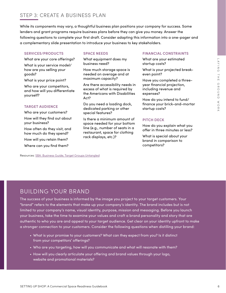### STEP 3: CREATE A BUSINESS PLAN

While its components may vary, a thoughtful business plan positions your company for success. Some lenders and grant programs require business plans before they can give you money. Answer the following questions to complete your first draft. Consider adapting this information into a one-pager and a complementary slide presentation to introduce your business to key stakeholders.

#### **SERVICES/PRODUCTS**

What are your core offerings?

What is your service model/ how are you selling your goods?

What is your price point?

Who are your competitors, and how will you differentiate yourself?

#### **TARGET AUDIENCE**

Who are your customers?

How will they find out about your business?

How often do they visit, and how much do they spend?

How will you retain them?

Where can you find them?

#### **SPACE NEEDS**

What equipment does my business need?

How much storage space is needed on average and at maximum capacity?

Are there accessibility needs in excess of what is required by the Americans with Disabilities  $Arf2$ 

Do you need a loading dock, dedicated parking or other special features?

Is there a minimum amount of space needed for your bottom line (e.g., number of seats in a restaurant, space for clothing rack displays, etc.)?

#### **FINANCIAL CONSTRAINTS**

What are your estimated startup costs?

What is your projected breakeven point?

Have you completed a threeyear financial projection, including revenue and expenses?

How do you intend to fund/ finance your brick-and-mortar startup costs?

#### **PITCH DECK**

How do you explain what you offer in three minutes or less?

What is special about your brand in comparison to competitors?

## Resources: [SBA: Business Guide](https://www.sba.gov/business-guide); [Target Groups Untangled](https://www.marketing-untangled.com/)

### BUILDING YOUR BRAND

Who are your conforming to the energy in the ground work of the ground work is the ground of the ground work of the ground work of the ground work of the ground work of the ground work of the ground work of the ground wor The success of your business is informed by the image you project to your target customers. Your "brand" refers to the elements that make up your company's identity. The brand includes but is not limited to your company's name, visual identity, purpose, mission and messaging. Before you launch your business, take the time to examine your values and craft a brand personality and story that are authentic to who you are and appeal to your target audience. Get clear on your identity upfront to make a stronger connection to your customers. Consider the following questions when distilling your brand:

- What is your promise to your customers? What can they expect from you? Is it distinct from your competitors' offerings?
- Who are you targeting, how will you communicate and what will resonate with them?
- How will you clearly articulate your offering and brand values through your logo, website and promotional materials?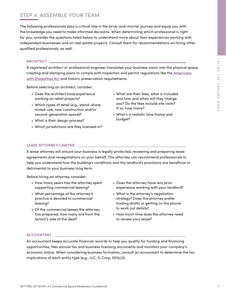### STEP 4: ASSEMBLE YOUR TEAM

The following professionals play a critical role in the brick-and-mortar journey and equip you with the knowledge you need to make informed decisions. When determining which professional is right for you, consider the questions listed below to understand more about their experiences working with independent businesses and on real estate projects. Consult them for recommendations on hiring other qualified professionals, as well.

#### **ARCHITECT**

A registered architect or professional engineer translates your business vision into the physical space, creating and stamping plans to comply with inspection and permit regulations like the Americans [with Disabilities Act](https://www.ada.gov/) and historic preservation requirements.

Before selecting an architect, consider:

- Does the architect have experience working on retail projects?
- Which types of retail (e.g., stand-alone, mixed-use, new construction and/or second-generation space)?
- What is their design process?
- Which jurisdictions are they licensed in?
- What are their fees, what is included and how and when will they charge you? Do the fees include site visits? If so, how many?
- What's a realistic time frame and budget?

#### **LEASE ATTORNEY/LAWYER**

A lease attorney will ensure your business is legally protected, reviewing and preparing lease agreements and renegotiations on your behalf. This attorney can recommend professionals to help you understand how the building's conditions and the landlord's provisions are beneficial or detrimental to your business long term.

Before hiring an attorney, consider:

- How many years has the attorney spent supporting commercial leasing?
- What percentage of the attorney's practice is devoted to commercial leasing?
- Of the commercial leases the attorney has prepared, how many are from the tenant's side of the deal?
- Does the attorney have any prior experience working with your landlord?
- What is the attorney's negotiation strategy? Does the attorney prefer trading drafts or getting on the phone to work out details?
- How much time does the attorney need to review your lease?

#### **ACCOUNTANT**

A Commercial Space of the strength of the strength of the strength of the strength of the strength of the strength of the strength of the strength of the strength of the strength of the strength of the ground with the gro An accountant keeps accurate financial records to help you qualify for funding and financing opportunities, files annual tax and business licensing documents and monitors your company's economic status. When considering business formation, consult an accountant to determine the tax implications of each entity type (e.g., LLC, S-Corp, 501(c)3).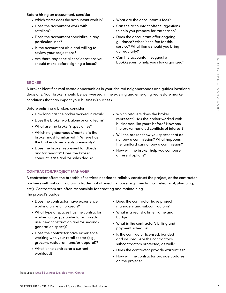Before hiring an accountant, consider:

- Which states does the accountant work in?
- Does the accountant work with retailers?
- Does the accountant specialize in any particular uses?
- Is the accountant able and willing to review your projections?
- Are there any special considerations you should make before signing a lease?
- What are the accountant's fees?
- Can the accountant offer suggestions to help you prepare for tax season?
- Does the accountant offer ongoing guidance? What is the fee for this service? What items should you bring up regularly?
- Can the accountant suggest a bookkeeper to help you stay organized?

#### **BROKER**

A broker identifies real estate opportunities in your desired neighborhoods and guides locational decisions. Your broker should be well-versed in the existing and emerging real estate market conditions that can impact your business's success.

Before enlisting a broker, consider:

- How long has the broker worked in retail?
- Does the broker work alone or on a team?
- What are the broker's specialties?
- Which neighborhoods/markets is the broker most familiar with? Where has the broker closed deals previously?
- Does the broker represent landlords and/or tenants? Does the broker conduct lease and/or sales deals?
- Which retailers does the broker represent? Has the broker worked with businesses like yours before? How has the broker handled conflicts of interest?
- Will the broker show you spaces that do not pay a commission? What happens if the landlord cannot pay a commission?
- How will the broker help you compare different options?

#### **CONTRACTOR/PROJECT MANAGER**

Final of the three three properties of the three transformations of the system is the state of the state of the state of the state is the state of the state of the state is a state of the state of the state and the state a A contractor offers the breadth of services needed to reliably construct the project, or the contractor partners with subcontractors in trades not offered in-house (e.g., mechanical, electrical, plumbing, etc.). Contractors are often responsible for creating and maintaining the project's budget.

- Does the contractor have experience working on retail projects?
- What type of spaces has the contractor worked on (e.g., stand-alone, mixeduse, new construction and/or secondgeneration space)?
- Does the contractor have experience working with your retail sector (e.g., grocery, restaurant and/or apparel)?
- What is the contractor's current workload?
- Does the contractor have project managers and subcontractors?
- What is a realistic time frame and budget?
- What is the contractor's billing and payment schedule?
- Is the contractor licensed, bonded and insured? Are the contractor's subcontractors protected, as well?
- Does the contractor provide warranties?
- How will the contractor provide updates on the project?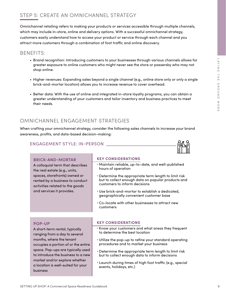### STEP 5: CREATE AN OMNICHANNEL STRATEGY

Omnichannel retailing refers to making your products or services accessible through multiple channels, which may include in-store, online and delivery options. With a successful omnichannel strategy, customers easily understand how to access your product or service through each channel and you attract more customers through a combination of foot traffic and online discovery.

### BENEFITS:

- Brand recognition: Introducing customers to your businesses through various channels allows for greater exposure to online customers who might never see the store or passersby who may not shop online.
- Higher revenues: Expanding sales beyond a single channel (e.g., online store only or only a single brick-and-mortar location) allows you to increase revenue to cover overhead.
- Better data: With the use of online and integrated in-store loyalty programs, you can obtain a greater understanding of your customers and tailor inventory and business practices to meet their needs.

### OMNICHANNEL ENGAGEMENT STRATEGIES

When crafting your omnichannel strategy, consider the following sales channels to increase your brand awareness, profits, and data-based decision-making:

### ENGAGEMENT STYLE: IN-PERSON



A colloquial term that describes the real estate (e.g., units, spaces, storefronts) owned or rented by a business to conduct activities related to the goods and services it provides.

#### **KEY CONSIDERATIONS**

- Maintain reliable, up-to-date, and well-published hours of operation
- Determine the appropriate term length to limit risk but to collect enough data on popular products and customers to inform decisions
- Use brick-and-mortar to establish a dedicated, geographically convenient customer base
- Co-locate with other businesses to attract new customers

#### POP-UP

SETTING INTORETAIN TO COMPROSITED INTO THE SPACE AND INTO THE SPACE AND THE SPACE AND THE SPACE AND THE SPACE AND THE SPACE READING THE SPACE READING THE SPACE READING THE SPACE READING THE SPACE READING THE SPACE READING A short-term rental, typically ranging from a day to several months, where the tenant occupies a portion of or the entire space. Pop-ups are typically used to introduce the business to a new market and/or explore whether a location is well-suited for your business

#### **KEY CONSIDERATIONS**

- Know your customers and what areas they frequent to determine the best location
- Utilize the pop-up to refine your standard operating procedures and to market your business
- Determine the appropriate term length to limit risk but to collect enough data to inform decisions
- Launch during times of high foot traffic (e.g., special events, holidays, etc.)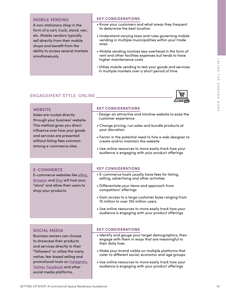#### MOBILE VENDING

A non-stationary shop in the form of a cart, truck, stand, van, etc. Mobile vendors typically sell directly from their mobile shops and benefit from the ability to access several markets simultaneously.

#### **KEY CONSIDERATIONS**

- Know your customers and what areas they frequent to determine the best location
- Understand varying laws and rules governing mobile vending in multiple municipalities within your trade area
- Mobile vending involves less overhead in the form of rent and other facilities expenses but tends to have higher maintenance costs
- Utilize mobile vending to test your goods and services in multiple markets over a short period of time

#### ENGAGEMENT STYLE: ONLINE

#### **WEBSITE**

Sales are routed directly through your business' website. This method gives you direct influence over how your goods and services are presented without listing fees common among e-commerce sites.

#### **KEY CONSIDERATIONS**

- Design an attractive and intuitive website to ease the customer experience
- Change pricing, run sales and bundle products at your discretion
- Factor in the potential need to hire a web designer to create and/or maintain the website
- Use online resources to more easily track how your audience is engaging with your product offerings

#### E-COMMERCE

E-commerce websites like [eBay](https://www.ebay.com/), [Amazon](http://www.amazon.com/) and [Etsy](https://www.etsy.com/) will host your "store" and allow their users to shop your products.

#### **KEY CONSIDERATIONS**

- E-commerce hosts usually have fees for listing, selling, advertising and other activities
- Differentiate your items and approach from competitors' offerings
- Gain access to a large customer base ranging from 10 million to over 150 million users
- Use online resources to more easily track how your audience is engaging with your product offerings

#### SOCIAL MEDIA

Multiple for maintenance costs.<br>
SETTING AGEMENT STYLE: ONLINE THE CONSIDERATIONS<br>
WESSITE COMMUNISTIES CONSIDERATIONS<br>
States are readed directly<br>
States are readed directly<br>
States are readed directly<br>
States are readed Business owners can choose to showcase their products and services directly to their "followers" or utilize the many native, fee-based selling and promotional tools on [Instagram,](https://www.instagram.com/) [Twitter,](https://twitter.com/?lang=en) [Facebook](https://www.facebook.com/) and other social media platforms.

#### **KEY CONSIDERATIONS**

- Identify and gauge your target demographics, then engage with them in ways that are meaningful to their daily lives
- Make your brand visible on multiple platforms that cater to different social, economic and age groups
- Use online resources to more easily track how your audience is engaging with your product offerings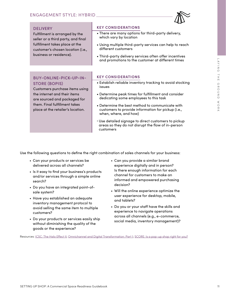

#### DELIVERY

Fulfillment is arranged by the seller or a third party, and final fulfillment takes place at the customer's chosen location (i.e., business or residence).

#### BUY-ONLINE-PICK-UP-IN-STORE (BOPIS)

Customers purchase items using the internet and their items are sourced and packaged for them. Final fulfillment takes place at the retailer's location.

#### **KEY CONSIDERATIONS**

- There are many options for third-party delivery, which vary by location
- Using multiple third-party services can help to reach different customers
- Third-party delivery services often offer incentives and promotions to the customer at different times

#### **KEY CONSIDERATIONS**

- Establish reliable inventory tracking to avoid stocking issues
- Determine peak times for fulfillment and consider dedicating some employees to this task
- Determine the best method to communicate with customers to provide information for pickup (i.e., when, where, and how)
- Use detailed signage to direct customers to pickup areas so they do not disrupt the flow of in-person customers

Use the following questions to define the right combination of sales channels for your business:

- Can your products or services be delivered across all channels?
- Is it easy to find your business's products and/or services through a simple online search?
- Do you have an integrated point-ofsale system?
- Have you established an adequate inventory management protocol to avoid selling the same item to multiple customers?
- Do your products or services easily ship without diminishing the quality of the goods or the experience?
- set of the customer of different lines<br>
SETTING UP NEV CONSIDERATIONS<br>
STORE (SOPIS) In the signal distribution of distribution of distribution of the signal distribution of the signal distribution of the ground of the • Can you provide a similar brand experience digitally and in person? Is there enough information for each channel for customers to make an informed and empowered purchasing decision?
	- Will the online experience optimize the user experience for desktop, mobile, and tablets?
	- Do you or your staff have the skills and experience to navigate operations across all channels (e.g., e-commerce, social media, inventory management)?

Resources: [ICSC: The Halo Effect II](https://www.icsc.com/thehaloeffectII); [Omnichannel and Digital Transformation: Part 1;](https://www.icsc.com/uploads/default/Omnichannel_and_Digital_Transformation_Part_I.pdf) [SCORE: Is a pop-up shop right for you?](https://www.score.org/blog/why-pop-shops-make-great-business-idea-entrepreneurs)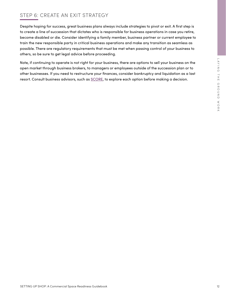### STEP 6: CREATE AN EXIT STRATEGY

Despite hoping for success, great business plans always include strategies to pivot or exit. A first step is to create a line of succession that dictates who is responsible for business operations in case you retire, become disabled or die. Consider identifying a family member, business partner or current employee to train the new responsible party in critical business operations and make any transition as seamless as possible. There are regulatory requirements that must be met when passing control of your business to others, so be sure to get legal advice before proceeding.

SENE, it continuing to operale in and right for your business, there are no plone to cell your business and the<br>separamental strength business Guidel An accommendation of the ground work of the ground work of the ground w Note, if continuing to operate is not right for your business, there are options to sell your business on the open market through business brokers, to managers or employees outside of the succession plan or to other businesses. If you need to restructure your finances, consider bankruptcy and liquidation as a last resort. Consult business advisors, such as [SCORE,](http://score.org/) to explore each option before making a decision.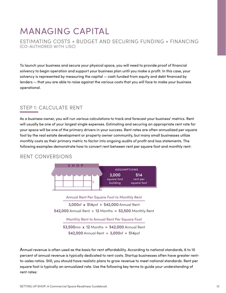# MANAGING CAPITAL

ESTIMATING COSTS + BUDGET AND SECURING FUNDING + FINANCING (CO-AUTHORED WITH LISC)

To launch your business and secure your physical space, you will need to provide proof of financial solvency to begin operation and support your business plan until you make a profit. In this case, your solvency is represented by measuring the capital — cash funded from equity and debt financed by lenders — that you are able to raise against the various costs that you will face to make your business operational.

### STEP 1: CALCULATE RENT

As a business owner, you will run various calculations to track and forecast your business' metrics. Rent will usually be one of your largest single expenses. Estimating and securing an appropriate rent rate for your space will be one of the primary drivers in your success. Rent rates are often annualized per square foot by the real estate development or property owner community, but many small businesses utilize monthly costs as their primary metric to factor into ongoing audits of profit and loss statements. The following examples demonstrate how to convert rent between rent per square foot and monthly rent:

### RENT CONVERSIONS



Annual Rent Per Square Foot to Monthly Rent 3,000sf **x** \$14psf **=** \$42,000 Annual Rent \$42,000 Annual Rent **÷** 12 Months **=** \$3,500 Monthly Rent Monthly Rent to Annual Rent Per Square Foot \$3,500mo **x** 12 Months **=** \$42,000 Annual Rent

\$42,000 Annual Rent **÷** 3,000sf **=** \$14psf

Annual revenue is often used as the basis for rent affordability. According to national standards, 6 to 10 percent of annual revenue is typically dedicated to rent costs. Startup businesses often have greater rentto-sales ratios. Still, you should have realistic plans to grow revenue to meet national standards. Rent per square foot is typically an annualized rate. Use the following key terms to guide your understanding of rent rates: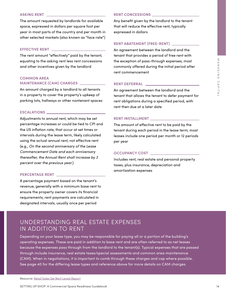#### **ASKING RENT**

The amount requested by landlords for available space, expressed in dollars per square foot per year in most parts of the country and per month in other selected markets (also known as "face rate")

#### **EFFECTIVE RENT**

The rent amount "effectively" paid by the tenant, equating to the asking rent less rent concessions and other incentives given by the landlord

#### **COMMON AREA MAINTENANCE (CAM) CHARGES**

An amount charged by a landlord to all tenants in a property to cover the property's upkeep of parking lots, hallways or other nontenant spaces

#### **ESCALATIONS**

Adjustments to annual rent, which may be set percentage increases or could be tied to CPI and the US inflation rate, that occur at set times or intervals during the lease term, likely calculated using the actual annual rent, not effective rent (e.g., *On the second anniversary of the Lease Commencement Date and each anniversary thereafter, the Annual Rent shall increase by 3 percent over the previous year.*)

#### **PERCENTAGE RENT**

A percentage payment based on the tenant's revenue, generally with a minimum base rent to ensure the property owner covers its financial requirements; rent payments are calculated in designated intervals, usually once per period

#### **RENT CONCESSIONS**

Any benefit given by the landlord to the tenant that will reduce the effective rent, typically expressed in dollars

#### **RENT ABATEMENT (FREE-RENT)**

An agreement between the landlord and the tenant that provides a period of free rent with the exception of pass-through expenses; most commonly offered during the initial period after rent commencement

#### **RENT DEFERRAL**

An agreement between the landlord and the tenant that allows the tenant to defer payment for rent obligations during a specified period, with rent then due at a later date

#### **RENT INSTALLMENT**

The amount of effective rent to be paid by the tenant during each period in the lease term; most leases include one period per month or 12 periods per year

#### **OCCUPANCY COST**

Includes rent, real estate and personal property taxes, plus insurance, depreciation and amortization expenses

### UNDERSTANDING REAL ESTATE EXPENSES IN ADDITION TO RENT

equality the autorigroup these tent concessions the exception of pass-through expendent that the exception of passing the interest of the exception of the state of the state of the state of the state of the state of the st Depending on your lease type, you may be responsible for paying all or a portion of the building's operating expenses. These are paid in addition to base rent and are often referred to as net leases because the expenses pass through from the landlord to the tenant(s). Typical expenses that are passed through include insurance, real estate taxes/special assessments and common area maintenance (CAM). When in negotiations, it is important to comb through these charges and cap where possible. See page 40 for the differing lease types and reference above for more details on CAM charges.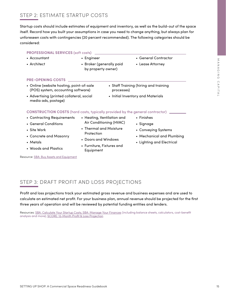### STEP 2: ESTIMATE STARTUP COSTS

Startup costs should include estimates of equipment and inventory, as well as the build-out of the space itself. Record how you built your assumptions in case you need to change anything, but always plan for unforeseen costs with contingencies (20 percent recommended). The following categories should be considered:

#### **PROFESSIONAL SERVICES** (soft costs)

- Accountant
- Architect

• Broker (generally paid by property owner)

• Engineer

• General Contractor

• Lease Attorney

- **PRE-OPENING COSTS**
- Online (website hosting, point-of-sale (POS) system, accounting software)
- Staff Training (hiring and training processes)
- Advertising (printed collateral, social media ads, postage)
- Initial Inventory and Materials

#### **CONSTRUCTION COSTS** (hard costs, typically provided by the general contractor)

- Contracting Requirements
- General Conditions
- Site Work
- Concrete and Masonry
- Metals
- Woods and Plastics

Resource: [SBA: Buy Assets and Equipment](https://www.sba.gov/business-guide/manage-your-business/buy-assets-equipment)

- Heating, Ventilation and Air Conditioning (HVAC)
- Thermal and Moisture Protection
- Doors and Windows
- Furniture, Fixtures and Equipment
- Finishes
- Signage
- Conveying Systems
- Mechanical and Plumbing
- Lighting and Electrical

## STEP 3: DRAFT PROFIT AND LOSS PROJECTIONS

SETT 3: DRAFT PROFIT AND LOSS PROJECTIONS<br>
For the distribution of the property energy of the property energy of the property of the commercial Space Reading COS system, accouning software) and the commercial constant<br>
Adv Profit and loss projections track your estimated gross revenue and business expenses and are used to calculate an estimated net profit. For your business plan, annual revenue should be projected for the first three years of operation and will be reviewed by potential funding entities and lenders.

Resources: SBA: Calculate Your Startup Costs; [SBA: Manage Your Finances](https://www.sba.gov/business-guide/manage-your-business/manage-your-finances) (including balance sheets, calculators, cost-benefit analysis and more); [SCORE: 12-Month Profit & Loss Projection](https://www.score.org/resource/12-month-profit-and-loss-projection)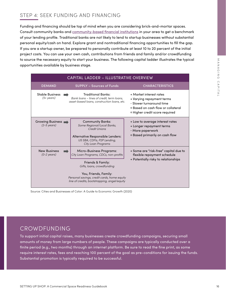### STEP 4: SEEK FUNDING AND FINANCING

Funding and financing should be top of mind when you are considering brick-and-mortar spaces. Consult community banks an[d community-based financial institutions](https://ofn.org/cdfi-locator) in your area to get a benchmark of your lending profile. Traditional banks are not likely to lend to startup businesses without substantial personal equity/cash on hand. Explore grant and nontraditional financing opportunities to fill the gap. If you are a startup owner, be prepared to personally contribute at least 10 to 20 percent of the initial project costs. You can use your own cash, contributions from friends and family and/or crowdfunding to source the necessary equity to start your business. The following capital ladder illustrates the typical opportunities available by business stage.

|                                              | CAPITAL LADDER - ILLUSTRATIVE OVERVIEW                                                                                                                                                            |                                                                                                                                                                                                                                                                                                                                                                                                                           |
|----------------------------------------------|---------------------------------------------------------------------------------------------------------------------------------------------------------------------------------------------------|---------------------------------------------------------------------------------------------------------------------------------------------------------------------------------------------------------------------------------------------------------------------------------------------------------------------------------------------------------------------------------------------------------------------------|
| <b>DEMAND</b>                                | <b>SUPPLY - Sources of Funds</b>                                                                                                                                                                  | <b>CHARACTERISTICS</b>                                                                                                                                                                                                                                                                                                                                                                                                    |
| Stable Business<br>$(5+ years)$              | <b>Traditional Banks:</b><br>Bank loans - lines of credit, term loans,<br>asset-based loans, construction loans, etc.                                                                             | + Market interest rates<br>+ Varying repayment terms<br>- Slower turnaround time<br>o Based on cash flow or collateral<br>o Higher credit score required                                                                                                                                                                                                                                                                  |
| Growing Business<br>$(2-5$ years)            | <b>Community Banks:</b><br>Some Regional/Local Banks,<br><b>Credit Unions</b><br>Alternative Responsible Lenders:<br>US SBA, CDFIs, P2P Lending,<br><b>City Loan Programs</b>                     | + Low to average interest rates<br>+ Longer repayment terms<br>- More paperwork<br>o Based primarily on cash flow                                                                                                                                                                                                                                                                                                         |
| <b>New Business</b><br>$(0-2 \text{ years})$ | <b>Micro-Business Programs:</b><br>City Loan Programs, CDCs, non-profits<br>Friends & Family:                                                                                                     | + Some are "risk-free" capital due to<br>flexible repayment schedule<br>+ Potentially risky to relationships                                                                                                                                                                                                                                                                                                              |
|                                              | You, Friends, Family:<br>Personal savings, credit cards, home equity<br>line of credits, bootstrapping, angel/equity<br>Source: Cities and Businesses of Color: A Guide to Economic Growth (2020) |                                                                                                                                                                                                                                                                                                                                                                                                                           |
| CROWDFUNDING                                 |                                                                                                                                                                                                   | To support initial capital raises, many businesses create crowdfunding campaigns, securing small<br>amounts of money from large numbers of people. These campaigns are typically conducted over a<br>finite period (e.g., two months) through an internet platform. Be sure to read the fine print, as some<br>require interest rates, fees and reaching 100 percent of the goal as pre-conditions for issuing the funds. |

## CROWDFUNDING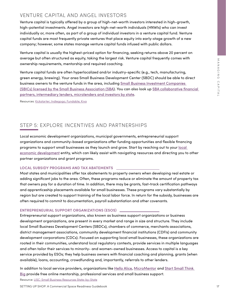### VENTURE CAPITAL AND ANGEL INVESTORS

Venture capital is typically offered by a group of high-net-worth investors interested in high-growth, high-potential investments. Angel investors are high-net-worth individuals (HNWIs) who can invest individually or, more often, as part of a group of individual investors in a venture capital fund. Venture capital funds are most frequently private ventures that place equity into early-stage growth of a new company; however, some states manage venture capital funds infused with public dollars.

Venture capital is usually the highest-priced option for financing, seeking returns above 20 percent on average but often structured as equity, taking the largest risk. Venture capital frequently comes with ownership requirements, mentorship and required coaching.

Venture capital funds are often hyperlocalized and/or industry-specific (e.g., tech, manufacturing, green energy, brewing). Your area Small Business Development Center (SBDC) should be able to direct business owners to the venture funds in the area, including [Small Business Investment Companies](https://www.sba.gov/funding-programs/investment-capital)  [\(SBICs\) licensed by the Small Business Association \(SBA\)](https://www.sba.gov/funding-programs/investment-capital). You can also look up [SBA collaborative financial](https://www.sba.gov/local-assistance)  [partners, intermediary lenders, microlenders and investors by state.](https://www.sba.gov/local-assistance)

Resources: [Kickstarter;](https://www.kickstarter.com/) [Indiegogo;](https://www.indiegogo.com/) [Fundable;](https://www.fundable.com/) [Kiva](https://www.kiva.org/)

### STEP 5: EXPLORE INCENTIVES AND PARTNERSHIPS

Local economic development organizations, municipal governments, entrepreneurial support organizations and community-based organizations offer funding opportunities and flexible financing programs to support small businesses as they launch and grow. Start by reaching out to your local [economic development](https://www.eda.gov/resources/directory/) entity, which can likely assist with navigating resources and directing you to other partner organizations and grant programs.

#### **LOCAL SUBSIDY PROGRAMS AND TAX ABATEMENTS**

Most states and municipalities offer tax abatements to property owners when developing real estate or adding significant jobs to the area. Often, these programs reduce or eliminate the amount of property tax that owners pay for a duration of time. In addition, there may be grants, fast-track certification pathways and apprenticeship placements available for small businesses. These programs vary substantially by region but are created to support training of the local labor force. In return for the subsidy, businesses are often required to commit to documentation, payroll substantiation and other covenants.

#### **ENTREPRENEURIAL SUPPORT ORGANIZATIONS (ESOS)**

SPREY and the three to the method in the set of the set of the set of the set of the set of the set of the set of the set of the set of the set of the set of the set of the set of the set of the set of the set of the set o Entrepreneurial support organizations, also known as business support organizations or business development organizations, are present in every market and range in size and structure. They include local Small Business Development Centers (SBDCs), chambers of commerce, merchants associations, district management associations, community development financial institutions (CDFIs) and community development corporations (CDCs). Focused on supporting local small businesses, these organizations are rooted in their communities, understand local regulatory contexts, provide services in multiple languages and often tailor their services to minority- and women-owned businesses. Access to capital is a key service provided by ESOs; they help business owners with financial coaching and planning, grants (when available), loans, accounting, crowdfunding and, importantly, referrals to other lenders.

In addition to local service providers, organizations lik[e Hello Alice,](https://helloalice.com/) [MicroMentor](https://www.micromentor.org/?utm_source=LISC&utm_medium=all) and Start Small Think [Big](https://www.startsmallthinkbig.org/) provide free online mentorship, professional services and small business support.

Resource: [LISC: Small Business Resources State-by-State](https://www.lisc.org/media/filer_public/36/13/3613e083-8ec6-4751-822f-a8882f698f51/051520_covid_response_resources_small_business_state-by-state.pdf)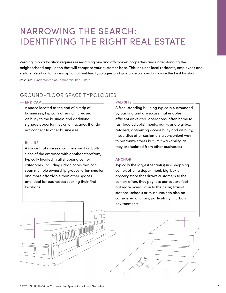## NARROWING THE SEARCH: IDENTIFYING THE RIGHT REAL ESTATE

Zeroing in on a location requires researching on- and off-market properties and understanding the neighborhood population that will comprise your customer base. This includes local residents, employees and visitors. Read on for a description of building typologies and guidance on how to choose the best location.

Resource: [Fundamentals of Commercial Real Estate](https://www.icsc.com/uploads/default/Fundamentals_of_Commercial_Real_Estate_Presentation.pdf)

### GROUND-FLOOR SPACE TYPOLOGIES:

#### END CAP

A space located at the end of a strip of businesses, typically offering increased visibility to the business and additional signage opportunities on all facades that do not connect to other businesses

#### **IN-LINE**

A space that shares a common wall on both sides of the entrance with another storefront, typically located in all shopping center categories, including urban cores that can span multiple ownership groups; often smaller and more affordable than other spaces and ideal for businesses seeking their first locations

#### **PAD SITE**

A free-standing building typically surrounded by parking and driveways that enables efficient drive-thru operations, often home to fast food establishments, banks and big-box retailers; optimizing accessibility and visibility, these sites offer customers a convenient way to patronize stores but limit walkability, as they are isolated from other businesses

#### **ANCHOR**

Typically the largest tenant(s) in a shopping center, often a department, big-box or grocery store that draws customers to the center; often, they pay less per square foot but more overall due to their size; transit stations, schools or museums can also be considered anchors, particularly in urban environments

 $\mathcal{C}$ 

而画画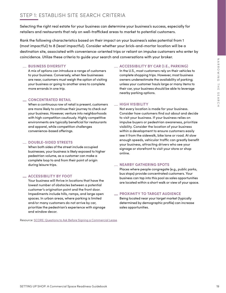### STEP 1: ESTABLISH SITE SEARCH CRITERIA

Selecting the right real estate for your business can determine your business's success, especially for retailers and restaurants that rely on well-trafficked areas to market to potential customers.

Rank the following characteristics based on their impact on your business's sales potential from 1 (most impactful) to 8 (least impactful). Consider whether your brick-and-mortar location will be a destination site, associated with convenience-oriented trips or reliant on impulse customers who enter by coincidence. Utilize these criteria to guide your search and conversations with your broker.

#### **BUSINESS DIVERSITY**

A mix of options can introduce a range of customers to your business. Conversely, when few businesses are near, customers must weigh the option of visiting your business or going to another area to complete more errands in one trip.

#### **CONCENTRATED RETAIL**

When a continuous row of retail is present, customers are more likely to continue their journey to check out your business. However, venture into neighborhoods with high competition cautiously. Highly competitive environments are typically beneficial for restaurants and apparel, while competition challenges convenience-based offerings.

#### **DOUBLE-SIDED STREETS**

When both sides of the street include occupied businesses, your business is likely exposed to higher pedestrian volume, as a customer can make a complete loop to and from their point of origin during leisure trips.

#### **ACCESSIBILITY BY FOOT**

Your business will thrive in locations that have the lowest number of obstacles between a potential customer's origination point and the front door. Impediments include hills, ramps, and large open spaces. In urban areas, where parking is limited and/or many customers do not arrive by car, prioritize the pedestrian's experience with signage and window decor.

Resource: [SCORE: Questions to Ask Before Signing a Commercial Lease](https://www.score.org/resource/questions-ask-signing-commercial-lease)

#### **ACCESSIBILITY BY CAR (I.E., PARKING)**

In the U.S., most customers rely on their vehicles to complete shopping trips. However, most business owners underestimate the availability of parking; unless your customer hauls large or many items to their car, your business should be able to leverage nearby parking options.

#### **HIGH VISIBILITY**

 $-$  RUSINEES OVERSITY<br>
A mixt of selection contributions of the search of the search of the search of the search of the search of the search of the search of the search of the search of the search of the search of the sea Not every location is made for your business. Consider how customers find out about and decide to visit your business. If your business relies on impulse buyers or pedestrian awareness, prioritize visibility. Consider the location of your business within a development to ensure customers easily see it from the sidewalk, bike lane or road. At slow enough speeds, vehicular traffic can greatly benefit your business, attracting drivers who see your signage or storefront to visit your store or shop online.

#### **NEARBY GATHERING SPOTS**

Places where people congregate (e.g., public parks, bus stops) provide concentrated customers. Your business can tap into this pool as sales opportunities are located within a short walk or view of your space.

#### **PROXIMITY TO TARGET AUDIENCE**

Being located near your target market (typically determined by demographic profile) can increase sales opportunities.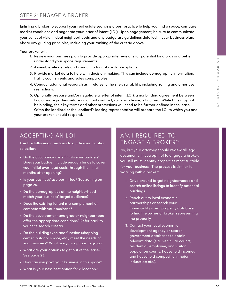### STEP 2: ENGAGE A BROKER

Enlisting a broker to support your real estate search is a best practice to help you find a space, compare market conditions and negotiate your letter of intent (LOI). Upon engagement, be sure to communicate your concept vision, ideal neighborhoods and any budgetary guidelines detailed in your business plan. Share any guiding principles, including your ranking of the criteria above.

Your broker will:

- 1. Review your business plan to provide appropriate revisions for potential landlords and better understand your space requirements.
- 2. Assemble site details and conduct a tour of available options.
- 3. Provide market data to help with decision-making. This can include demographic information, traffic counts, rents and sales comparables.
- 4. Conduct additional research as it relates to the site's suitability, including zoning and other use restrictions.
- standard control of the branching the commercial Space Commercial Space Reading Commercial Space Reading This control of the search of the search of the search of the space Reading Commercial Space Reading This control of 5. Optionally prepare and/or negotiate a letter of intent (LOI), a nonbinding agreement between two or more parties before an actual contract, such as a lease, is finalized. While LOIs may not be binding, their key terms and other protections will need to be further defined in the lease. Often the landlord or the landlord's leasing representative will prepare the LOI to which you and your broker should respond.

### ACCEPTING AN LOI

Use the following questions to guide your location selection:

- Do the occupancy costs fit into your budget? Does your budget include enough funds to cover your initial overhead costs through the initial months after opening?
- Is your business' use permitted? See zoning on page 29.
- Do the demographics of the neighborhood match your business' target audience?
- Does the existing tenant mix complement or compete with your business?
- Do the development and greater neighborhood offer the appropriate conditions? Refer back to your site search criteria.
- Do the building type and function (shopping center, outdoor space, etc.) meet the needs of your business? What are your options to grow?
- What are your options to get out of the lease? See page 23.
- How can you pivot your business in this space?
- What is your next best option for a location?

### AM I REQUIRED TO ENGAGE A BROKER?

No, but your attorney should review all legal documents. If you opt not to engage a broker, you still must identify properties most suitable for your business. The process is similar to working with a broker:

- 1. Drive around target neighborhoods and search online listings to identify potential buildings.
- 2. Reach out to local economic partnerships or search your municipality's real property database to find the owner or broker representing the property.
- 3. Contact your local economic development agency or search government databases to obtain relevant data (e.g., vehicular counts; residential, employee, and visitor population counts; household incomes and household composition; major industries; etc.).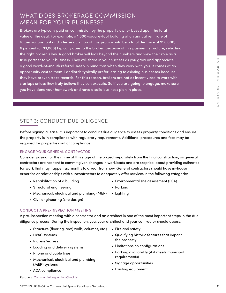### WHAT DOES BROKERAGE COMMISSION MEAN FOR YOUR BUSINESS?

Eta Te pois the transmission of the search and particular the proposition of the proposition of the stating the stating between the stating between the stating between the stating between the stating between the stating t Brokers are typically paid on commission by the property owner based upon the total value of the deal. For example, a 1,000-square-foot building at an annual rent rate of 10 per square foot and a lease duration of five years would be a total deal size of \$50,000; 6 percent (or \$3,000) typically goes to the broker. Because of this payment structure, selecting the right broker is key. A good broker will look beyond the numbers and view their role as a true partner to your business. They will share in your success as you grow and appreciate a good word-of-mouth referral. Keep in mind that when they work with you, it comes at an opportunity cost to them. Landlords typically prefer leasing to existing businesses because they have proven track records. For this reason, brokers are not as incentivized to work with startups unless they truly believe they can execute. So if you are going to engage, make sure you have done your homework and have a solid business plan in place.

### STEP 3: CONDUCT DUE DILIGENCE

Before signing a lease, it is important to conduct due diligence to assess property conditions and ensure the property is in compliance with regulatory requirements. Additional procedures and fees may be required for properties out of compliance.

#### ENGAGE YOUR GENERAL CONTRACTOR

Consider paying for their time at this stage of the project separately from the final construction, as general contractors are hesitant to commit given changes in workloads and are skeptical about providing estimates for work that may happen six months to a year from now. General contractors should have in-house expertise or relationships with subcontractors to adequately offer services in the following categories:

• Rehabilitation of a building

• Environmental site assessment (ESA)

• Structural engineering

- Parking
- Mechanical, electrical and plumbing (MEP) Lighting
- Civil engineering (site design)

### CONDUCT A PRE-INSPECTION MEETING

A pre-inspection meeting with a contractor and an architect is one of the most important steps in the due diligence process. During the inspection, you, your architect and your contractor should assess:

- Structure (flooring, roof, walls, columns, etc.)
- HVAC systems
- Ingress/egress
- Loading and delivery systems
- Phone and cable lines
- Mechanical, electrical and plumbing (MEP) systems
- ADA compliance
- Fire and safety
- Qualifying historic features that impact the property
- Limitations on configurations
- Parking availability (if it meets municipal requirements)
- Signage opportunities
- Existing equipment

Resource: [Commercial Inspection Checklist](http://www.cityofrockhill.com/Home/ShowDocument?id=2249)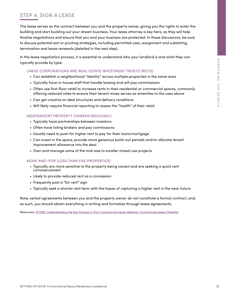### STEP 4: SIGN A LEASE

The lease serves as the contract between you and the property owner, giving you the rights to enter the building and start building out your dream business. Your lease attorney is key here, as they will help finalize negotiations and ensure that you and your business are protected. In these discussions, be sure to discuss potential exit or pivoting strategies, including permitted uses, assignment and subletting, termination and lease renewals (detailed in the next step).

In the lease negotiation process, it is essential to understand who your landlord is and what they can typically provide by type:

#### LARGE CORPORATIONS AND REAL ESTATE INVESTMENT TRUSTS (REITS)

- Can establish a neighborhood "identity" across multiple properties in the same area
- Typically have in-house staff that handle leasing and will pay commissions
- Often use first-floor retail to increase rents in their residential or commercial spaces, commonly offering reduced rates to ensure their tenant mixes serves as amenities to the uses above
- Can get creative on deal structures and delivery conditions
- Will likely require financial reporting to assess the "health" of their retail

#### INDEPENDENT PROPERTY OWNERS (REGIONAL)

- Typically have partnerships between investors
- Often have listing brokers and pay commissions
- Usually need to push for higher rent to pay for their loans/mortgage
- Can invest in the space, provide more generous build-out periods and/or allocate tenant improvement allowance into the deal
- Own and manage some of the mid-size to smaller mixed-use projects

#### MOM-AND-POP (LESS THAN FIVE PROPERTIES)

- Typically are more sensitive to the property being vacant and are seeking a quick rent commencement
- Likely to provide reduced rent as a concession
- Frequently post a "for rent" sign
- Typically seek a shorter rent term with the hopes of capturing a higher rent in the near future

Spitcally provide by type:<br>
LAGGE CORPORATIONS AND REAL ESTATE INVESTMENT TRUSTS (REITS)<br>
Concertsbish a neighborhood "detaily" oreass multiple properties in the same orea<br>
• Typically hove in -Tolouve stoff that handle is Note, verbal agreements between you and the property owner do not constitute a formal contract, and, as such, you should obtain everything in writing and formalize through lease agreements.

Resources: [SCORE: Understanding the Key Clauses in Your Commercial Lease Webinar;](https://www.score.org/event/understanding-key-clauses-your-commercial-lease) [Commercial Lease Checklist](http://www.seattle.gov/Documents/Departments/economicDevelopment/restaurants/FINAL%20Summary%20Lease%20Tool.pdf)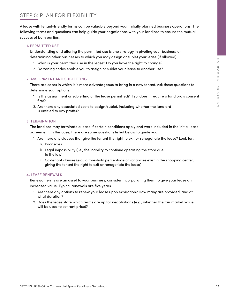### STEP 5: PLAN FOR FLEXIBILITY

A lease with tenant-friendly terms can be valuable beyond your initially planned business operations. The following terms and questions can help guide your negotiations with your landlord to ensure the mutual success of both parties:

#### 1. PERMITTED USE

Understanding and altering the permitted use is one strategy in pivoting your business or determining other businesses to which you may assign or sublet your lease (if allowed).

- 1. What is your permitted use in the lease? Do you have the right to change?
- 2. Do zoning codes enable you to assign or sublet your lease to another use?

#### 2. ASSIGNMENT AND SUBLETTING

There are cases in which it is more advantageous to bring in a new tenant. Ask these questions to determine your options:

- 1. Is the assignment or subletting of the lease permitted? If so, does it require a landlord's consent first?
- 2. Are there any associated costs to assign/sublet, including whether the landlord is entitled to any profits?

#### 3. TERMINATION

SETTING UP SHOP: THE SETTING UP A COMMENT WAS USED TO A COMMENT AND SUBLIFTING UP SHOPS OF SHOPS UP A COMMENT WAS USED TO ASSESS MAKET AND SUBLIFTING OF the sloop of sublet your foother use?<br>
There are easily in the search The landlord may terminate a lease if certain conditions apply and were included in the initial lease agreement. In this case, there are some questions listed below to guide you:

- 1. Are there any clauses that give the tenant the right to exit or renegotiate the lease? Look for:
	- a. Poor sales
	- b. Legal impossibility (i.e., the inability to continue operating the store due to the law)
	- c. Co-tenant clauses (e.g., a threshold percentage of vacancies exist in the shopping center, giving the tenant the right to exit or renegotiate the lease)

#### 4. LEASE RENEWALS

Renewal terms are an asset to your business; consider incorporating them to give your lease an increased value. Typical renewals are five years.

- 1. Are there any options to renew your lease upon expiration? How many are provided, and at what duration?
- 2. Does the lease state which terms are up for negotiations (e.g., whether the fair market value will be used to set rent price)?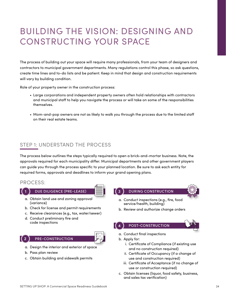## BUILDING THE VISION: DESIGNING AND CONSTRUCTING YOUR SPACE

The process of building out your space will require many professionals, from your team of designers and contractors to municipal government departments. Many regulations control this phase, so ask questions, create time lines and to-do lists and be patient. Keep in mind that design and construction requirements will vary by building condition.

Role of your property owner in the construction process:

- Large corporations and independent property owners often hold relationships with contractors and municipal staff to help you navigate the process or will take on some of the responsibilities themselves.
- Mom-and-pop owners are not as likely to walk you through the process due to the limited staff on their real estate teams.

### STEP 1: UNDERSTAND THE PROCESS

The process below outlines the steps typically required to open a brick-and-mortar business. Note, the approvals required for each municipality differ. Municipal departments and other government players can guide you through the process specific to your planned location. Be sure to ask each entity for required forms, approvals and deadlines to inform your grand opening plans.

#### PROCESS:

#### **1** DUE DILIGENCE (PRE-LEASE)

- a. Obtain land use and zoning approval (variance)
- b. Check for license and permit requirements
- c. Receive clearances (e.g., tax, water/sewer)
- d. Conduct preliminary fire and code inspections

#### 2 PRE-CONSTRUCTION

- a. Design the interior and exterior of space
- b. Pass plan review
- c. Obtain building and sidewalk permits



- a. Conduct inspections (e.g., fire, food service/health, building)
- b. Review and authorize change orders

#### **4** POST-CONSTRUCTION

- a. Conduct final inspections
- b. Apply for:
	- i. Certificate of Compliance (if existing use and no construction required)
	- ii. Certificate of Occupancy (if a change of use and construction required)
	- iii. Certificate of Acceptance (if no change of use or construction required)
- c. Obtain licenses (liquor, food safety, business, and sales tax verification)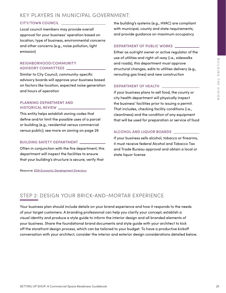### KEY PLAYERS IN MUNICIPAL GOVERNMENT:

#### **CITY/TOWN COUNCIL**

Local council members may provide overall approval for your business' operation based on location, type of business, environmental concerns and other concerns (e.g., noise pollution, light emission)

#### **NEIGHBORHOOD/COMMUNITY ADVISORY COMMITTEES**

Similar to City Council, community-specific advisory boards will approve your business based on factors like location, expected noise generation and hours of operation

#### **PLANNING DEPARTMENT AND HISTORICAL REVIEW**

This entity helps establish zoning codes that define and/or limit the possible uses of a parcel or building (e.g., residential versus commercial versus public); see more on zoning on page 29

#### **BUILDING SAFETY DEPARTMENT**

Often in conjunction with the fire department, this department will inspect the facilities to ensure that your building's structure is secure; verify that

Resource: [EDA Economic Development Directory](https://www.eda.gov/resources/)

the building's systems (e.g., HVAC) are compliant with municipal, county and state requirements; and provide guidance on maximum occupancy

#### **DEPARTMENT OF PUBLIC WORKS**

Either as outright owner or active regulator of the use of utilities and right-of-way (i.e., sidewalks and roads), this department must approve structural changes, edits to utilities delivery (e.g., rerouting gas lines) and new construction

#### **DEPARTMENT OF HEALTH**

If your business plans to sell food, the county or city health department will physically inspect the business' facilities prior to issuing a permit. That includes, checking facility conditions (i.e., cleanliness) and the condition of any equipment that will be used for preparation or service of food

#### **ALCOHOL AND LIQUOR BOARDS**

If your business sells alcohol, tobacco or firearms, it must receive federal Alcohol and Tobacco Tax and Trade Bureau approval and obtain a local or state liquor license

## STEP 2: DESIGN YOUR BRICK-AND-MORTAR EXPERIENCE

NEO HOROCOMMUNITY and roote of the distribution of the distribution of the distribution of the distribution of the state of the state of the state of the state of the state of the state of the state of the state of the sta Your business plan should include details on your brand experience and how it responds to the needs of your target customers. A branding professional can help you clarify your concept, establish a visual identity and produce a style guide to inform the interior design and all branded elements of your business. Share the foundational brand documents and style guide with your architect to kick off the storefront design process, which can be tailored to your budget. To have a productive kickoff conversation with your architect, consider the interior and exterior design considerations detailed below.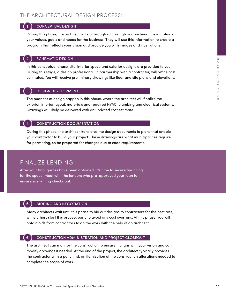### THE ARCHITECTURAL DESIGN PROCESS:

#### **1** CONCEPTUAL DESIGN

During this phase, the architect will go through a thorough and systematic evaluation of your values, goals and needs for the business. They will use this information to create a program that reflects your vision and provide you with images and illustrations.

#### 2 SCHEMATIC DESIGN

In this conceptual phase, site, interior space and exterior designs are provided to you. During this stage, a design professional, in partnership with a contractor, will refine cost estimates. You will receive preliminary drawings like floor and site plans and elevations.

#### **3** DESIGN DEVELOPMENT

The nuances of design happen in this phase, where the architect will finalize the exterior, interior layout, materials and required HVAC, plumbing and electrical systems. Drawings will likely be delivered with an updated cost estimate.

#### **4** CONSTRUCTION DOCUMENTATION

During this phase, the architect translates the design documents to plans that enable your contractor to build your project. These drawings are what municipalities require for permitting, so be prepared for changes due to code requirements.

### FINALIZE LENDING

After your final quotes have been obtained, it's time to secure financing for the space. Meet with the lenders who pre-approved your loan to ensure everything checks out.

#### **5** BIDDING AND NEGOTIATION

Many architects wait until this phase to bid out designs to contractors for the best rate, while others start this process early to avoid any cost overruns. At this phase, you will obtain bids from contractors to do the work with the help of an architect.

#### **6** CONSTRUCTION ADMINISTRATION AND PROJECT CLOSEOUT

SETTING UP SHOP: THE MONOR THE MANUFIES CONTROLL IN A CONSTRAINT CONSTRAINT THE MONOR AND INSTRAINT CONSTRAINT THE MONOR CONSTRAINT CONSTRAINT THE MONOR CONSTRAINT CONSTRAINT THE MONOR CONSTRAINT THE MONOR CONSTRAINT THE The architect can monitor the construction to ensure it aligns with your vision and can modify drawings if needed. At the end of the project, the architect typically provides the contractor with a punch list, an itemization of the construction alterations needed to complete the scope of work.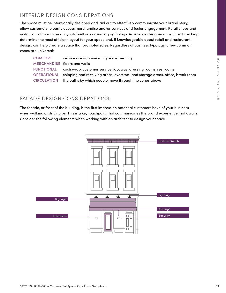### INTERIOR DESIGN CONSIDERATIONS

The space must be intentionally designed and laid out to effectively communicate your brand story, allow customers to easily access merchandise and/or services and foster engagement. Retail shops and restaurants have varying layouts built on consumer psychology. An interior designer or architect can help determine the most efficient layout for your space and, if knowledgeable about retail and restaurant design, can help create a space that promotes sales. Regardless of business typology, a few common zones are universal:

**COMFORT** service areas, non-selling areas, seating **MERCHANDISE** floors and walls **FUNCTIONAL** cash wrap, customer service, layaway, dressing rooms, restrooms **OPERATIONAL** shipping and receiving areas, overstock and storage areas, office, break room **CIRCULATION** the paths by which people move through the zones above

### FACADE DESIGN CONSIDERATIONS:

The facade, or front of the building, is the first impression potential customers have of your business when walking or driving by. This is a key touchpoint that communicates the brand experience that awaits. Consider the following elements when working with an architect to design your space.

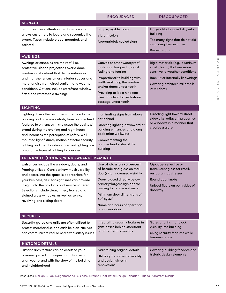| <b>SIGNAGE</b><br>Simple, legible design<br>Largely blocking visibility into<br>Signage draws attention to a business and<br>building<br>allows customers to locate and recognize the<br>Vibrant colors<br>brand. Types include blade, mounted, and<br>Too many signs that do not aid<br>Appropriately scaled signs<br>in guiding the customer<br>painted<br>Back-lit signs<br><b>AWNINGS</b><br>Awnings or canopies are the roof-like,<br>Canvas or other waterproof<br>Rigid materials (e.g., aluminum,<br>materials designed to resist<br>vinyl, plastic) that are more<br>protective, sloped projections over a door,<br>sensitive to weather conditions<br>fading and tearing<br>window or storefront that define entrances<br>Proportional to building with<br>Back-lit or internally lit awnings<br>and that shelter customers, interior spaces and<br>width matching the window<br>merchandise from direct sunlight and weather<br>Covering architectural details<br>and/or doors underneath<br>or windows<br>conditions. Options include storefront, window-<br>Providing at least nine feet<br>fitted and retractable awnings<br>free and clear for pedestrian<br>passage underneath<br><b>LIGHTING</b><br>Lighting draws the customer's attention to the<br>Directing light toward street,<br>Illuminating signs from above,<br>sidewalks, adjacent properties<br>not behind<br>building and business details, from architectural<br>or windows in a manner that<br>features to entrances. It showcase the business'<br>Directing lighting downward at<br>creates a glare<br>building entrances and along<br>brand during the evening and night hours<br>pedestrian walkways<br>and increases the perception of safety. Wall-<br>mounted light fixtures, motion detector security<br>Complementing the<br>architectural styles of the<br>lighting and merchandise storefront lighting are<br>building<br>among the types of lighting to consider<br><b>ENTRANCES (DOORS, WINDOWSAND FRAMING)</b><br>Entrances include the windows, doors, and<br>Use of glass on 70 percent<br>Opaque, reflective or<br>of facade and glass on mail<br>translucent glass for retail/<br>framing utilized. Consider how much visibility<br>door(s) for increased visibility<br>restaurant businesses<br>and access into the space is appropriate for<br>Doors placed directly below<br>Round door knobs<br>your business, as clear sight lines can provide<br>primary/largest sign and/or<br>insight into the products and services offered.<br>Unlevel floors on both sides of<br>awning to denote entrance<br>Selections include clear, tinted, frosted and<br>doorway<br>Minimum door dimensions of<br>stained glass windows, as well as swing,<br>80" by 32"<br>revolving and sliding doors<br>Name and hours of operation<br>on or near door<br><b>SECURITY</b><br>Integrating security features in<br>Gates or grills that block<br>Security gates and grills are often utilized to<br>gate boxes behind storefront<br>visibility into building<br>protect merchandise and cash held on-site, yet<br>or underneath awnings<br>can communicate real or perceived safety issues<br>Using security features while<br>business is open<br><b>HISTORIC DETAILS</b><br>Covering building facades and<br>Historic architecture can be assets to your<br>Maintaining original details | <b>ENCOURAGED</b> | <b>DISCOURAGED</b>       |
|-------------------------------------------------------------------------------------------------------------------------------------------------------------------------------------------------------------------------------------------------------------------------------------------------------------------------------------------------------------------------------------------------------------------------------------------------------------------------------------------------------------------------------------------------------------------------------------------------------------------------------------------------------------------------------------------------------------------------------------------------------------------------------------------------------------------------------------------------------------------------------------------------------------------------------------------------------------------------------------------------------------------------------------------------------------------------------------------------------------------------------------------------------------------------------------------------------------------------------------------------------------------------------------------------------------------------------------------------------------------------------------------------------------------------------------------------------------------------------------------------------------------------------------------------------------------------------------------------------------------------------------------------------------------------------------------------------------------------------------------------------------------------------------------------------------------------------------------------------------------------------------------------------------------------------------------------------------------------------------------------------------------------------------------------------------------------------------------------------------------------------------------------------------------------------------------------------------------------------------------------------------------------------------------------------------------------------------------------------------------------------------------------------------------------------------------------------------------------------------------------------------------------------------------------------------------------------------------------------------------------------------------------------------------------------------------------------------------------------------------------------------------------------------------------------------------------------------------------------------------------------------------------------------------------------------------------------------------------------------------------------------------------------------------------------------------------------------------------------------------------------------------------------------------------------------------------------------------------------------------------------------------------------------------------------------------------------------------------------------------------------|-------------------|--------------------------|
|                                                                                                                                                                                                                                                                                                                                                                                                                                                                                                                                                                                                                                                                                                                                                                                                                                                                                                                                                                                                                                                                                                                                                                                                                                                                                                                                                                                                                                                                                                                                                                                                                                                                                                                                                                                                                                                                                                                                                                                                                                                                                                                                                                                                                                                                                                                                                                                                                                                                                                                                                                                                                                                                                                                                                                                                                                                                                                                                                                                                                                                                                                                                                                                                                                                                                                                                                                               |                   |                          |
|                                                                                                                                                                                                                                                                                                                                                                                                                                                                                                                                                                                                                                                                                                                                                                                                                                                                                                                                                                                                                                                                                                                                                                                                                                                                                                                                                                                                                                                                                                                                                                                                                                                                                                                                                                                                                                                                                                                                                                                                                                                                                                                                                                                                                                                                                                                                                                                                                                                                                                                                                                                                                                                                                                                                                                                                                                                                                                                                                                                                                                                                                                                                                                                                                                                                                                                                                                               |                   |                          |
|                                                                                                                                                                                                                                                                                                                                                                                                                                                                                                                                                                                                                                                                                                                                                                                                                                                                                                                                                                                                                                                                                                                                                                                                                                                                                                                                                                                                                                                                                                                                                                                                                                                                                                                                                                                                                                                                                                                                                                                                                                                                                                                                                                                                                                                                                                                                                                                                                                                                                                                                                                                                                                                                                                                                                                                                                                                                                                                                                                                                                                                                                                                                                                                                                                                                                                                                                                               |                   |                          |
|                                                                                                                                                                                                                                                                                                                                                                                                                                                                                                                                                                                                                                                                                                                                                                                                                                                                                                                                                                                                                                                                                                                                                                                                                                                                                                                                                                                                                                                                                                                                                                                                                                                                                                                                                                                                                                                                                                                                                                                                                                                                                                                                                                                                                                                                                                                                                                                                                                                                                                                                                                                                                                                                                                                                                                                                                                                                                                                                                                                                                                                                                                                                                                                                                                                                                                                                                                               |                   |                          |
|                                                                                                                                                                                                                                                                                                                                                                                                                                                                                                                                                                                                                                                                                                                                                                                                                                                                                                                                                                                                                                                                                                                                                                                                                                                                                                                                                                                                                                                                                                                                                                                                                                                                                                                                                                                                                                                                                                                                                                                                                                                                                                                                                                                                                                                                                                                                                                                                                                                                                                                                                                                                                                                                                                                                                                                                                                                                                                                                                                                                                                                                                                                                                                                                                                                                                                                                                                               |                   |                          |
|                                                                                                                                                                                                                                                                                                                                                                                                                                                                                                                                                                                                                                                                                                                                                                                                                                                                                                                                                                                                                                                                                                                                                                                                                                                                                                                                                                                                                                                                                                                                                                                                                                                                                                                                                                                                                                                                                                                                                                                                                                                                                                                                                                                                                                                                                                                                                                                                                                                                                                                                                                                                                                                                                                                                                                                                                                                                                                                                                                                                                                                                                                                                                                                                                                                                                                                                                                               |                   |                          |
|                                                                                                                                                                                                                                                                                                                                                                                                                                                                                                                                                                                                                                                                                                                                                                                                                                                                                                                                                                                                                                                                                                                                                                                                                                                                                                                                                                                                                                                                                                                                                                                                                                                                                                                                                                                                                                                                                                                                                                                                                                                                                                                                                                                                                                                                                                                                                                                                                                                                                                                                                                                                                                                                                                                                                                                                                                                                                                                                                                                                                                                                                                                                                                                                                                                                                                                                                                               |                   |                          |
|                                                                                                                                                                                                                                                                                                                                                                                                                                                                                                                                                                                                                                                                                                                                                                                                                                                                                                                                                                                                                                                                                                                                                                                                                                                                                                                                                                                                                                                                                                                                                                                                                                                                                                                                                                                                                                                                                                                                                                                                                                                                                                                                                                                                                                                                                                                                                                                                                                                                                                                                                                                                                                                                                                                                                                                                                                                                                                                                                                                                                                                                                                                                                                                                                                                                                                                                                                               |                   |                          |
|                                                                                                                                                                                                                                                                                                                                                                                                                                                                                                                                                                                                                                                                                                                                                                                                                                                                                                                                                                                                                                                                                                                                                                                                                                                                                                                                                                                                                                                                                                                                                                                                                                                                                                                                                                                                                                                                                                                                                                                                                                                                                                                                                                                                                                                                                                                                                                                                                                                                                                                                                                                                                                                                                                                                                                                                                                                                                                                                                                                                                                                                                                                                                                                                                                                                                                                                                                               |                   |                          |
|                                                                                                                                                                                                                                                                                                                                                                                                                                                                                                                                                                                                                                                                                                                                                                                                                                                                                                                                                                                                                                                                                                                                                                                                                                                                                                                                                                                                                                                                                                                                                                                                                                                                                                                                                                                                                                                                                                                                                                                                                                                                                                                                                                                                                                                                                                                                                                                                                                                                                                                                                                                                                                                                                                                                                                                                                                                                                                                                                                                                                                                                                                                                                                                                                                                                                                                                                                               |                   |                          |
|                                                                                                                                                                                                                                                                                                                                                                                                                                                                                                                                                                                                                                                                                                                                                                                                                                                                                                                                                                                                                                                                                                                                                                                                                                                                                                                                                                                                                                                                                                                                                                                                                                                                                                                                                                                                                                                                                                                                                                                                                                                                                                                                                                                                                                                                                                                                                                                                                                                                                                                                                                                                                                                                                                                                                                                                                                                                                                                                                                                                                                                                                                                                                                                                                                                                                                                                                                               |                   |                          |
| business, providing unique opportunities to<br>Utilizing the same materiality<br>align your brand with the story of the building<br>and design styles in<br>renovations<br>and neighborhood                                                                                                                                                                                                                                                                                                                                                                                                                                                                                                                                                                                                                                                                                                                                                                                                                                                                                                                                                                                                                                                                                                                                                                                                                                                                                                                                                                                                                                                                                                                                                                                                                                                                                                                                                                                                                                                                                                                                                                                                                                                                                                                                                                                                                                                                                                                                                                                                                                                                                                                                                                                                                                                                                                                                                                                                                                                                                                                                                                                                                                                                                                                                                                                   |                   | historic design elements |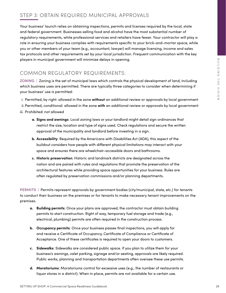### STEP 3: OBTAIN REQUIRED MUNICIPAL APPROVALS

Your business' launch relies on obtaining inspections, permits and licenses required by the local, state and federal government. Businesses selling food and alcohol have the most substantial number of regulatory requirements, while professional services and retailers have fewer. Your contractor will play a role in ensuring your business complies with requirements specific to your brick-and-mortar space, while you or other members of your team (e.g., accountant, lawyer) will manage licensing, income and sales tax protocols and other requirements set by your local jurisdiction. Frequent communication with the key players in municipal government will minimize delays in opening.

### COMMON REGULATORY REQUIREMENTS:

**ZONING** | Zoning is the set of municipal laws which controls the physical development of land, including which business uses are permitted. There are typically three categories to consider when determining if your business' use is permitted:

i. Permitted, by right: allowed in the zone **without** an additional review or approvals by local government

ii. Permitted, conditional: allowed in the zone **with** an additional review or approvals by local government iii. Prohibited: not allowed

- **a. Signs and awnings**: Local zoning laws or your landlord might detail sign ordinances that restrict the size, location and type of signs used. Check regulations and secure the written approval of the municipality and landlord before investing in a sign.
- **b. Accessibility**: Required by the Americans with Disabilities Act (ADA), this aspect of the buildout considers how people with different physical limitations may interact with your space and ensures there are wheelchair-accessible doors and bathrooms.
- Separate in municipal government will minimize delays in operaing.<br>
SCOMMON REGULATORY REQULATENTS:<br>
SCOMMON REGULATORY REQULATENTS:<br>
SCOMMON REGULATORY REQULATEDS:<br>
SCOMMON REGULATORY REQULATEDS:<br>
Thermitted, by right: al **c. Historic preservation**: Historic and landmark districts are designated across the nation and are paired with rules and regulations that promote the preservation of the architectural features while providing space opportunities for your business. Rules are often regulated by preservation commissions and/or planning departments.

**PERMITS** | Permits represent approvals by government bodies (city/municipal, state, etc.) for tenants to conduct their business on the premises or for tenants to make necessary tenant improvements on the premises.

- **a. Building permits**: Once your plans are approved, the contractor must obtain building permits to start construction. Right of way, temporary fuel storage and trade (e.g., electrical, plumbing) permits are often required in the construction process.
- **b. Occupancy permits**: Once your business passes final inspections, you will apply for and receive a Certificate of Occupancy, Certificate of Compliance or Certificate of Acceptance. One of these certificates is required to open your doors to customers.
- **c. Sidewalks**: Sidewalks are considered public space. If you plan to utilize them for your business's awnings, valet parking, signage and/or seating, approvals are likely required. Public works, planning and transportation departments often oversee these use permits.
- **d. Moratoriums**: Moratoriums control for excessive uses (e.g., the number of restaurants or liquor stores in a district). When in place, permits are not available for a certain use.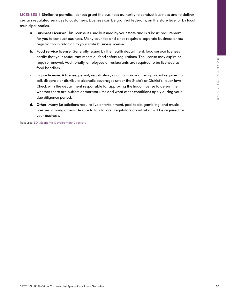**LICENSES** | Similar to permits, licenses grant the business authority to conduct business and to deliver certain regulated services to customers. Licenses can be granted federally, on the state level or by local municipal bodies.

- **a. Business License:** This license is usually issued by your state and is a basic requirement for you to conduct business. Many counties and cities require a seperate business or tax registration in addition to your state business license.
- **b. Food service license**: Generally issued by the health department, food service licenses certify that your restaurant meets all food safety regulations. The license may expire or require renewal. Additionally, employees at restaurants are required to be licensed as food handlers.
- Francisco Additionally, employees of resistances for examples of the Riescan of the Commercial Space Readiness Guide Commercial Space Readiness Guide Commercial Space Readiness Guide Commercial Space Readiness Guideling t **c. Liquor license**: A license, permit, registration, qualification or other approval required to sell, dispense or distribute alcoholic beverages under the State's or District's liquor laws. Check with the department responsible for approving the liquor license to determine whether there are buffers or moratoriums and what other conditions apply during your due diligence period.
	- **d. Other**: Many jurisdictions require live entertainment, pool table, gambling, and music licenses, among others. Be sure to talk to local regulators about what will be required for your business.

Resource: [EDA Economic Development Directory](https://www.eda.gov/resources/)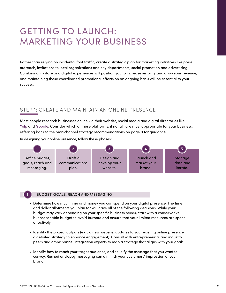## GETTING TO LAUNCH: MARKETING YOUR BUSINESS

Rather than relying on incidental foot traffic, create a strategic plan for marketing initiatives like press outreach, invitations to local organizations and city departments, social promotion and advertising. Combining in-store and digital experiences will position you to increase visibility and grow your revenue, and maintaining these coordinated promotional efforts on an ongoing basis will be essential to your success.

### STEP 1: CREATE AND MAINTAIN AN ONLINE PRESENCE

Most people research businesses online via their website, social media and digital directories like [Yelp](https://biz.yelp.com/?utm_campaign=claim_business&utm_content=claim_footer_link&utm_medium=www&utm_source=footer) and [Google.](https://www.google.com/business/) Consider which of these platforms, if not all, are most appropriate for your business, referring back to the omnichannel strategy recommendations on page 9 for guidance.

In designing your online presence, follow these phases:





#### **1** BUDGET, GOALS, REACH AND MESSAGING

- Determine how much time and money you can spend on your digital presence. The time and dollar allotments you plan for will drive all of the following decisions. While your budget may vary depending on your specific business needs, start with a conservative but reasonable budget to avoid burnout and ensure that your limited resources are spent effectively.
- Identify the project outputs (e.g., a new website, updates to your existing online presence, a detailed strategy to enhance engagement). Consult with entrepreneurial and industry peers and omnichannel integration experts to map a strategy that aligns with your goals.
- Identify how to reach your target audience, and solidify the message that you want to convey. Rushed or sloppy messaging can diminish your customers' impression of your brand.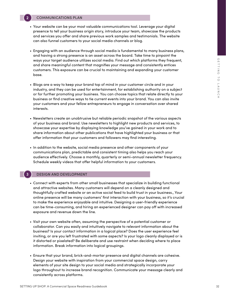#### **2** COMMUNICATIONS PLAN

- Your website can be your most valuable communications tool. Leverage your digital presence to tell your business origin story, introduce your team, showcase the products and services you offer and share previous work samples and testimonials. The website can also funnel customers to your social media channels or blog.
- Engaging with an audience through social media is fundamental to many business plans, and having a strong presence is an asset across the board. Take time to pinpoint the ways your target audience utilizes social media. Find out which platforms they frequent, and share meaningful content that magnifies your message and consistently entices customers. This exposure can be crucial to maintaining and expanding your customer base.
- Blogs are a way to keep your brand top of mind in your customer circle and in your industry, and they can be used for entertainment, for establishing authority on a subject or for further promoting your business. You can choose topics that relate directly to your business or find creative ways to tie current events into your brand. You can also invite your customers and your fellow entrepreneurs to engage in conversation over shared interests.
- Newsletters create an unobtrusive but reliable periodic snapshot of the various aspects of your business and brand. Use newsletters to highlight new products and services, to showcase your expertise by displaying knowledge you've gained in your work and to share information about other publications that have highlighted your business or that offer information that your customers and followers may find interesting.
- In addition to the website, social media presence and other components of your communications plan, predictable and consistent timing also helps you reach your audience effectively. Choose a monthly, quarterly or semi-annual newsletter frequency. Schedule weekly videos that offer helpful information to your customers.

#### **3** DESIGN AND DEVELOPMENT

- way your terms durations utilities accold mean field out which jedding the space of the space Reading to the space Reading to the space Reading to the space Reading to the space Reading to the space Reading to the space Re • Connect with experts from other small businesses that specialize in building functional and attractive websites. Many customers will depend on a cleanly designed and thoughtfully crafted website or an active social feed to build trust in your business., Your online presence will be many customers' first interaction with your business, so it's crucial to make the experience enjoyable and intuitive. Designing a user-friendly experience can be time-consuming, and hiring an experienced designer can pay off with increased exposure and revenue down the line.
	- Visit your own website often, assuming the perspective of a potential customer or collaborator. Can you easily and intuitively navigate to relevant information about the business? Is your contact information in a logical place? Does the user experience feel inviting, or are you left frustrated with some aspects? Is your logo cleanly displayed or is it distorted or pixelated? Be deliberate and use restraint when deciding where to place information. Break information into logical groupings.
	- Ensure that your brand, brick-and-mortar presence and digital channels are cohesive. Design your website with inspiration from your commercial space design, carry elements of your site design to your social media and strategically incorporate your logo throughout to increase brand recognition. Communicate your message clearly and consistently across platforms.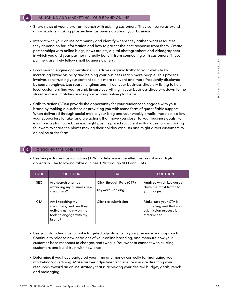#### **4** LAUNCHING AND MARKETING YOUR BRAND ONLINE

- Share news of your storefront launch with existing customers. They can serve as brand ambassadors, making prospective customers aware of your business.
- Interact with your online community and identify where they gather, what resources they depend on for information and how to garner the best response from them. Create partnerships with online blogs, news outlets, digital photographers and videographers in which you and your partner mutually benefit from connecting with customers. These partners are likely fellow small business owners.
- Local search engine optimization (SEO) drives organic traffic to your website by increasing brand visibility and helping your business reach more people. This process involves constructing your content so it is more relevant and more frequently displayed by search engines. Use search engines and fill out your business directory listing to help local customers find your brand. Ensure everything in your business directory, down to the street address, matches across your various online platforms.
- Calls to action (CTAs) provide the opportunity for your audience to engage with your brand by making a purchase or providing you with some form of quantifiable support. When delivered through social media, your blog and your weekly emails, these calls allow your supporters to take tangible actions that move you closer to your business goals. For example, a plant care business might post its prized succulent with a question box asking followers to share the plants making their holiday wishlists and might direct customers to an online order form.

#### **5** ONGOING MANAGEMENT

|             | • Calls to action (CTAs) provide the opportunity for your audience to engage with your<br>brand by making a purchase or providing you with some form of quantifiable support.<br>When delivered through social media, your blog and your weekly emails, these calls allow<br>your supporters to take tangible actions that move you closer to your business goals. For<br>example, a plant care business might post its prized succulent with a question box asking<br>followers to share the plants making their holiday wishlists and might direct customers to<br>an online order form. |                                                                                        |                                                                                           |  |
|-------------|--------------------------------------------------------------------------------------------------------------------------------------------------------------------------------------------------------------------------------------------------------------------------------------------------------------------------------------------------------------------------------------------------------------------------------------------------------------------------------------------------------------------------------------------------------------------------------------------|----------------------------------------------------------------------------------------|-------------------------------------------------------------------------------------------|--|
|             | <b>ONGOING MANAGEMENT</b>                                                                                                                                                                                                                                                                                                                                                                                                                                                                                                                                                                  |                                                                                        |                                                                                           |  |
|             |                                                                                                                                                                                                                                                                                                                                                                                                                                                                                                                                                                                            | • Use key performance indicators (KPIs) to determine the effectiveness of your digital |                                                                                           |  |
| <b>TOOL</b> | approach. The following table outlines KPIs through SEO and CTAs.<br><b>QUESTION</b>                                                                                                                                                                                                                                                                                                                                                                                                                                                                                                       | <b>KPI</b>                                                                             | <b>SOLUTION</b>                                                                           |  |
| <b>SEO</b>  | Are search engines<br>awarding my business new<br>customers?                                                                                                                                                                                                                                                                                                                                                                                                                                                                                                                               | Click-through Rate (CTR)<br>Keyword Ranking                                            | Analyze which keywords<br>drive the most traffic to<br>your pages                         |  |
| <b>CTA</b>  | Am I reaching my<br>customers, and are they<br>actively using my online<br>tools to engage with my<br>brand?                                                                                                                                                                                                                                                                                                                                                                                                                                                                               | Clicks to submission                                                                   | Make sure your CTA is<br>compelling and that your<br>submission process is<br>streamlined |  |

- Use your data findings to make targeted adjustments to your presence and approach. Continue to release new iterations of your online branding, and measure how your customer base responds to changes and tweaks. You want to connect with existing customers and build trust with new ones.
- Determine if you have budgeted your time and money correctly for managing your marketing/advertising. Make further adjustments to ensure you are directing your resources toward an online strategy that is achieving your desired budget, goals, reach and messaging.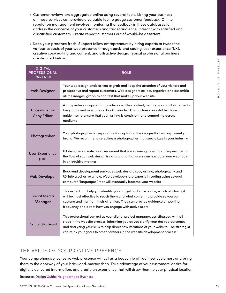- Customer reviews are aggregated online using several tools. Listing your business on these services can provide a valuable tool to gauge customer feedback. Online reputation management involves monitoring the feedback in these databases to address the concerns of your customers and target audience. Interact with satisfied and dissatisfied customers. Create repeat customers out of would-be deserters.
- Keep your presence fresh. Support fellow entrepreneurs by hiring experts to tweak the various aspects of your web presence through back-end coding, user experience (UX), creative copy editing and content, and attractive design. Typical professional partners are detailed below.

| <b>DIGITAL</b><br><b>PROFESSIONAL</b><br><b>PARTNER</b> | <b>ROLE</b>                                                                                                                                                                                                                                                                                                                                           |
|---------------------------------------------------------|-------------------------------------------------------------------------------------------------------------------------------------------------------------------------------------------------------------------------------------------------------------------------------------------------------------------------------------------------------|
| <b>Web Designer</b>                                     | Your web design enables you to grab and keep the attention of your visitors and<br>prospective and repeat customers. Web designers collect, organize and assemble<br>all the images, graphics and text that make up your website                                                                                                                      |
| Copywriter or<br>Copy Editor                            | A copywriter or copy editor produces written content, helping you craft statements<br>like your brand mission and backgrounder. This partner can establish tone<br>guidelines to ensure that your writing is consistent and compelling across<br>mediums                                                                                              |
| Photographer                                            | Your photographer is responsible for capturing the images that will represent your<br>brand. We recommend selecting a photographer that specializes in your industry                                                                                                                                                                                  |
| <b>User Experience</b><br>(UX)                          | UX designers create an environment that is welcoming to visitors. They ensure that<br>the flow of your web design is natural and that users can navigate your web tools<br>in an intuitive manner                                                                                                                                                     |
| Web Developer                                           | Back-end development packages web design, copywriting, photography and<br>UX into a cohesive whole. Web developers are experts in coding using several<br>computer "languages" that will eventually become your website                                                                                                                               |
| <b>Social Media</b><br>Manager                          | This expert can help you identify your target audience online, which platform(s)<br>will be most effective to reach them and what content to provide so you can<br>capture and maintain their attention. They can provide guidance on posting<br>frequency and direct how you engage with active users                                                |
| <b>Digital Strategist</b>                               | This professional can act as your digital project manager, assisting you with all<br>steps in the website process, informing you as you clarify your desired outcomes<br>and analyzing your KPIs to help direct new iterations of your website. The strategist<br>can relay your goals to other partners in the website development process           |
|                                                         | THE VALUE OF YOUR ONLINE PRESENCE<br>Your comprehensive, cohesive web presence will act as a beacon to attract new customers and bring<br>them to the doorway of your brick-and-mortar shop. Take advantage of your customers' desire for<br>digitally delivered information, and create an experience that will draw them to your physical location. |
|                                                         | Resource: Design Guide: Neighborhood Business                                                                                                                                                                                                                                                                                                         |
|                                                         | SETTING UP SHOP: A Commercial Space Readiness Guidebook                                                                                                                                                                                                                                                                                               |

### THE VALUE OF YOUR ONLINE PRESENCE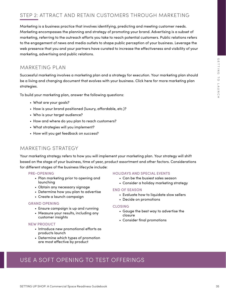### STEP 2: ATTRACT AND RETAIN CUSTOMERS THROUGH MARKETING

Marketing is a business practice that involves identifying, predicting and meeting customer needs. Marketing encompasses the planning and strategy of promoting your brand. Advertising is a subset of marketing, referring to the outreach efforts you take to reach potential customers. Public relations refers to the engagement of news and media outlets to shape public perception of your business. Leverage the web presence that you and your partners have curated to increase the effectiveness and visibility of your marketing, advertising and public relations.

### MARKETING PLAN

SETTING UP SHOP: A Commercial Space Readiness Guidebook 35getting to launch Successful marketing involves a marketing plan and a strategy for execution. Your marketing plan should be a living and changing document that evolves with your business. [Click here](https://www.restohub.org/operations/promotion/restaurant-marketing-plan-ideas-strategies/) for more marketing plan strategies.

To build your marketing plan, answer the following questions:

- What are your goals?
- How is your brand positioned (luxury, affordable, etc.)?
- Who is your target audience?
- How and where do you plan to reach customers?
- What strategies will you implement?
- How will you get feedback on success?

### MARKETING STRATEGY

Your marketing strategy refers to how you will implement your marketing plan. Your strategy will shift based on the stage of your business, time of year, product assortment and other factors. Considerations for different stages of the business lifecycle include:

#### PRE-OPENING

- Plan marketing prior to opening and launching
- Obtain any necessary signage
- Determine how you plan to advertise
- Create a launch campaign

#### GRAND OPENING

- Ensure campaign is up and running
- Measure your results, including any customer insights

#### NEW PRODUCT

- Introduce new promotional efforts as products launch
- Determine which types of promotion are most effective by product

#### HOLIDAYS AND SPECIAL EVENTS

- Can be the busiest sales season
- Consider a holiday marketing strategy

#### END OF SEASON

- Evaluate how to liquidate slow sellers
- Decide on promotions

#### CLOSING

- Gauge the best way to advertise the closure
- Consider final promotions

### USE A SOFT OPENING TO TEST OFFERINGS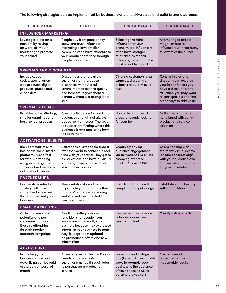The following strategies can be implemented by business owners to drive sales and build brand awareness.

| <b>DESCRIPTION</b>                                                                                                                                                               | <b>BENEFIT</b>                                                                                                                                                                                                                                    | <b>ENCOURAGED</b>                                                                                                                                                           | <b>DISCOURAGED</b>                                                                                                                                                                |  |  |  |  |
|----------------------------------------------------------------------------------------------------------------------------------------------------------------------------------|---------------------------------------------------------------------------------------------------------------------------------------------------------------------------------------------------------------------------------------------------|-----------------------------------------------------------------------------------------------------------------------------------------------------------------------------|-----------------------------------------------------------------------------------------------------------------------------------------------------------------------------------|--|--|--|--|
| <b>INFLUENCER MARKETING</b>                                                                                                                                                      |                                                                                                                                                                                                                                                   |                                                                                                                                                                             |                                                                                                                                                                                   |  |  |  |  |
| Leverages a person's<br>network by relying<br>on word-of-mouth<br>marketing to promote<br>your brand                                                                             | People buy from people they<br>know and trust. Influencer<br>marketing allows smaller<br>communities to have exposure to<br>your product or service through<br>people they know                                                                   | Selecting the right<br>influencer for your<br>brand Micro-influencers<br>often have stronger<br>relationships to their<br>followers, generating the<br>most valuable impact | Attempting to attract<br>mega- or macro-<br>influencers with too many<br>followers at the outset                                                                                  |  |  |  |  |
| <b>SPECIALS AND DISCOUNTS</b>                                                                                                                                                    |                                                                                                                                                                                                                                                   |                                                                                                                                                                             |                                                                                                                                                                                   |  |  |  |  |
| Include coupon<br>codes, special offers,<br>free products, digital<br>products, guides and<br>e-booklets.                                                                        | Discounts and offers allow<br>customers to try products<br>or services without a full<br>commitment to test the quality<br>and benefits. It gives them a<br>benefit without just asking for a<br>sale                                             | Offering customers small<br>samples, discounts or<br>e-books to quickly build<br>trust                                                                                      | Constant sales and<br>discounts can devalue<br>your brand Unless you<br>have a discount brand<br>structure, you may want<br>to limit specials and find<br>other ways to add value |  |  |  |  |
| <b>SPECIALTY ITEMS</b>                                                                                                                                                           |                                                                                                                                                                                                                                                   |                                                                                                                                                                             |                                                                                                                                                                                   |  |  |  |  |
| Provides niche offerings,<br>smaller quantities and<br>hard-to-get products                                                                                                      | Specialty items are for particular<br>audiences and will not always<br>appeal to the masses. The keys<br>to success are finding where this<br>audience is and mastering how<br>to reach them                                                      | Honing in on a specific<br>group of people looking<br>for your item                                                                                                         | Selling items that are<br>not aligned with current<br>product and service<br>selection                                                                                            |  |  |  |  |
| <b>ACTIVATIONS (EVENTS)</b>                                                                                                                                                      |                                                                                                                                                                                                                                                   |                                                                                                                                                                             |                                                                                                                                                                                   |  |  |  |  |
| Include virtual events<br>hosted via social media<br>platforms. Get a feel<br>for who is attending<br>using event registration<br>software like Eventbrite<br>or Facebook Events | Activations allow people from all<br>over the world to connect in real<br>time with your brand. They get to<br>ask questions and have a "virtual<br>shopping" experience without<br>leaving their homes                                           | Creatively driving<br>audience engagement<br>via activations like online<br>shopping events or<br>product/service Q&As                                                      | Overextending with<br>too many virtual events<br>(ensure concepts align<br>with your audience and<br>time investment is realistic<br>for your schedule)                           |  |  |  |  |
| <b>PARTNERSHIPS</b>                                                                                                                                                              |                                                                                                                                                                                                                                                   |                                                                                                                                                                             |                                                                                                                                                                                   |  |  |  |  |
| Partnerships refer to<br>strategic alliances<br>with other businesses<br>that complement your<br>business                                                                        | These relationships allow you<br>to promote your brand to other<br>business' audience, increasing<br>visibility and the potential for<br>new customers                                                                                            | Identifying brands with<br>complementary offerings                                                                                                                          | <b>Establishing partnerships</b><br>with competitors                                                                                                                              |  |  |  |  |
| <b>EMAIL MARKETING</b>                                                                                                                                                           |                                                                                                                                                                                                                                                   |                                                                                                                                                                             |                                                                                                                                                                                   |  |  |  |  |
| Collecting emails of<br>potential and past<br>customers and nurturing<br>those relationships<br>through regular<br>outreach campaigns                                            | Email marketing provides a<br>tangible list of people from<br>whom you can directly solicit<br>business because they expressed<br>interest in your business in some<br>way. It keeps them updated<br>on promotions, offers and new<br>information | Newsletters that provide<br>valuable, audience-<br>specific content                                                                                                         | Overtly salesy emails                                                                                                                                                             |  |  |  |  |
| <b>ADVERTISING</b>                                                                                                                                                               |                                                                                                                                                                                                                                                   |                                                                                                                                                                             |                                                                                                                                                                                   |  |  |  |  |
| Promoting your<br>business online and off,<br>advertising can be paid,<br>grassroots or word-of-<br>mouth                                                                        | Advertising expedites the Know-<br>Like-Trust cycle a potential<br>customer must go through prior<br>to purchasing a product or<br>service                                                                                                        | Facebook and Instagram<br>ads (low-cost, measurable<br>ways to promote your<br>business to the audience<br>of your choosing using<br>parameters you set)                    | Costly forms of<br>advertisement without<br>measurable results                                                                                                                    |  |  |  |  |
|                                                                                                                                                                                  | SETTING UP SHOP: A Commercial Space Readiness Guidebook                                                                                                                                                                                           |                                                                                                                                                                             |                                                                                                                                                                                   |  |  |  |  |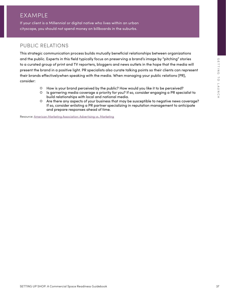### EXAMPLE

If your client is a Millennial or digital native who lives within an urban cityscape, you should not spend money on billboards in the suburbs.

### PUBLIC RELATIONS

and the public Lightestic Maximum procedures and precisioning a broad simulation projections of the public Chan<br>
Set is our of the public of the state of the state of the state of the state of the state of the state of the This strategic communication process builds mutually beneficial relationships between organizations and the public. Experts in this field typically focus on preserving a brand's image by "pitching" stories to a curated group of print and TV reporters, bloggers and news outlets in the hope that the media will present the brand in a positive light. PR specialists also curate talking points so their clients can represent their brands effectivelywhen speaking with the media. When managing your public relations (PR), consider:

- How is your brand perceived by the public? How would you like it to be perceived?
- Is garnering media coverage a priority for you? If so, consider engaging a PR specialist to build relationships with local and national media.
- Are there any aspects of your business that may be susceptible to negative news coverage? If so, consider enlisting a PR partner specializing in reputation management to anticipate and prepare responses ahead of time.

Resource: American Marketing Association: Advertising vs. Marketing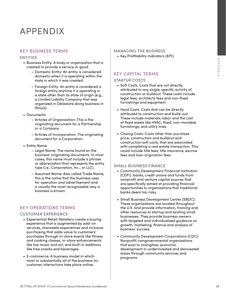# APPENDIX

### KEY BUSINESS TERMS

#### ENTITIES

- Business Entity: A body or organization that is created to provide a service or good.
	- Domestic Entity: An entity is considered domestic when it is operating within the state in which it was created.
	- Foreign Entity: An entity is considered a foreign entity anytime it is operating in a state other than its state of origin (e.g., a Limited Liability Company that was organized in Delaware doing business in Illinois).
- Documents
	- Articles of Organization: This is the originating document for a Partnership or a Company.
	- Articles of Incorporation: The originating document for a Corporation.
- Entity Name
	- Legal Name: The name found on the business' originating documents. In most cases, this name must include a phrase or abbreviation that represents the entity type (i.e., Corporation, Inc., or LLC).
	- Assumed Name: Also called Trade Name, this is the name that the business uses for operation and advertisement and is usually the most recognizable way a business is known.

#### KEY OPERATIONS TERMS

#### CUSTOMER EXPERIENCE

- Experiential Retail: Retailers create a buying experience that is augmented by add-on services, shareable experiences and inclusive purchasing that adds value to customers' purchases through in-store events like fitness and cooking classes, in-store enhancements like live music and art, and built-in additions like free snacks and beverages.
- E-commerce: A business model in which most or substantially all of the business-tocustomer interactions take place online.

#### MANAGING THE BUSINESS

• Key Profitability Indicators (KPI):

#### KEY CAPITAL TERMS

#### STARTUP COSTS

- Soft Costs: Costs that are not directly attributed to any single, specific activity of construction or buildout. These costs include legal fees, architects fees and non-fixed furnishings and equipment
- Hard Costs: Costs that can be directly attributed to construction and build-out. These include materials, labor and the cost of fixed assets like HVAC; fixed, non-movable furnishings; and utility lines.
- Closing Costs: Costs other than purchase price, construction and buildout and construction soft costs, that are associated with completing a real estate transaction. This could include title fees, title insurance, escrow fees and loan origination fees.

#### SMALL BUSINESS FINANCE

- Community Development Financial Institution (CDFI): banks, credit unions and funds from nonprofit and venture capital sources that are specifically aimed at providing financial opportunities to organizations that traditional banks deem too risky.
- Commercial<br>
Commercial Space As by the anisotropic mixed in the commercial Space Reading of the state in the state of the state of the state of the state of the state of the state of the state of the state of the state of • Small Business Development Center (SBDC): These organizations are located throughout the U.S. and provide information, training and other resources to startup and existing small businesses. They provide business owners with targeted and individualized guidance on growth, marketing, finance and analysis of business' success.
	- Community Development Corporations (CDC): Nonprofit, nongovernmental organizations that exist to strengthen economic development in underinvested and disinvested areas through community services and programs.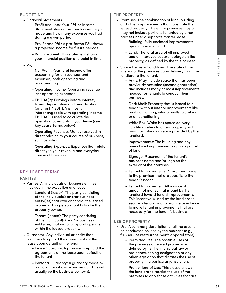#### BUDGETING

- Financial Statements
	- Profit and Loss: Your P&L or Income Statement shows how much revenue you made and how many expenses you had during a given period.
	- Pro-Forma P&L: A pro-forma P&L shows a projected income for future periods.
	- Balance Sheet: This statement shows your financial position at a point in time.
- Profit
	- Net Profit: Your total income after accounting for all revenues and expenses; both operating and nonoperating
	- Operating Income: Operating revenue less operating expenses
	- EBITDA(R): Earnings before interest, taxes, depreciation and amortization (and rent)". EBITDA is mostly interchangeable with operating income. EBITDAR is used to calculate the operating covenants in your lease (see Key Lease Terms below)
	- Operating Revenue: Money received in direct relation to your course of business, such as sales.
	- Operating Expenses: Expenses that relate directly to your revenue and everyday course of business.

#### KEY LEASE TERMS

#### PARTIES

- Parties: All individuals or business entities involved in the execution of a lease.
	- Landlord (lessor): The party consisting of the individual(s) and/or business entity(ies) that own or control the leased property. This person could also be the property owner.
	- Tenant (lessee): The party consisting of the individual(s) and/or business entity(ies) that will occupy and operate within the leased property.
- Guarantor: Any individual or entity that promises to uphold the agreements of the lease upon default of the tenant.
	- Lease Guaranty: A promise to uphold the agreements of the lease upon default of the tenant
	- Personal Guaranty: A guaranty made by a guarantor who is an individual. This will usually be the business owner(s).

#### THE PROPERTY

- Premises: The combination of land, building and other improvements that constitute the leased property. The entire premises may or may not include portions tenanted by other parties under a separate master lease.
	- Building: Fully enclosed improvements upon a parcel of land.
	- Land: The total area of all improved and unimproved square footage on the property, as defined by the title or deed.
- Space Delivery Conditions: The state of the interior of the premises upon delivery from the landlord to the tenant.
	- As-Is: May include space that has been previously occupied (second generation) and includes many or most improvements needed for tenants to conduct their business.
	- Dark Shell: Property that is leased to a tenant without interior improvements like heating, lighting, interior walls, plumbing or air conditioning.
	- White Box: White box space delivery condition refers to a new property with basic furnishings already provided by the landlord.
	- Improvements: The building and any unenclosed improvements upon a parcel of land.
	- Signage: Placement of the tenant's business name and/or logo on the exterior of the premises.
	- Tenant Improvements: Alterations made to the premises that are specific to the tenant's needs.
- Point manuforce of point in the second of the time into determine the properties of the present of the present of the present of the present of the present of the present in the second space of the present of the present o – Tenant Improvement Allowance: An amount of money that is paid by the landlord toward tenant improvements. This incentive is used by the landlord to secure a tenant and to provide assistance to make tenant improvements that are necessary for the tenant's business.

#### USE OF PROPERTY

- Use: A summary description of all the uses to be conducted on-site by the business (e.g., full-service restaurant, men's apparel store).
	- Permitted Use: The possible uses of the premises or leased property as defined by its title, municipal law or ordinance, zoning designation or any other legislation that dictates the use of property in a particular jurisdiction.
	- Prohibitions of Use: This clause allows the landlord to restrict the use of the premises to only those activities that are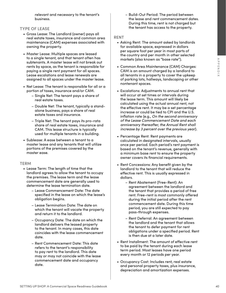relevant and necessary to the tenant's business.

#### TYPE OF LEASE

- Gross Lease: The Landlord (owner) pays all real estate taxes, insurance and common area maintenance (CAM) expenses associated with owning the property.
- Master Lease: Multiple spaces are leased to a single tenant, and that tenant often has subtenants. A master lease will not break out rents by space, as the tenant is responsible for paying a single rent payment for all spaces. Lease escalations and lease renewals are assigned to all spaces under the master lease.
- Net Lease: The tenant is responsible for all or a portion of taxes, insurance and/or CAM.
	- Single Net: The tenant pays a share of real estate taxes.
	- Double Net: The tenant, typically a standalone business, pays a share of real estate taxes and insurance.
	- Triple Net: The tenant pays its pro-rata share of real estate taxes, insurance and CAM. This lease structure is typically used for multiple tenants in a building.
- Sublease: A ease between a tenant to a master lease and any tenants that will utilize portions of the premises covered by the master ease.

#### **TERM**

- Lease Term: The length of time that the landlord agrees to allow the tenant to occupy the premises. The lease term and the lease commencement date are generally used to determine the lease termination date.
	- Lease Commencement Date: The date specified in the lease on which the lease's obligation begins.
	- Lease Termination Date: The date on which the tenant will vacate the property and return it to the landlord.
	- Occupancy Date: The date on which the landlord delivers the leased property to the tenant. In many cases, this date coincides with the lease commencement date.
	- Rent Commencement Date: This date refers to the tenant's responsibility to pay rent to the landlord. This date may or may not coincide with the lease commencement date and occupancy date.

– Build-Out Period: The period between the lease and rent commencement dates. During this time, rent is not charged but the tenant has access to the property.

#### RENT

- Asking Rent: The amount asked by landlords for available space, expressed in dollars per square foot per year in most parts of the country and per month in other selected markets (also known as "base rate").
- Common Area Maintenance (CAM) Charges: CAM is an amount charged by a landlord to all tenants in a property to cover the upkeep of parking lots, hallways, landscaping or other nontenant spaces.
- subsection the most external technology in the set of the location of the set of the set of the set of the set of the set of the set of the set of the set of the set of the set of the set of the set of the set of the set o • Escalations: Adjustments to annual rent that will occur at set times or intervals during the lease term. This amount will likely be calculated using the actual annual rent, not the effective rent. It may be a set percentage increase or could be tied to CPI and the U.S. inflation rate (e.g., *On the second anniversary of the Lease Commencement Date and each anniversary thereafter, the Annual Rent shall increase by 3 percent over the previous year*).
	- Percentage Rent: Rent payments are calculated in designated intervals, usually once per period. Each period's rent payment is based on the tenant's revenue, generally with a minimum base rent to ensure the property owner covers its financial requirements.
	- Rent Concessions: Any benefit given by the landlord to the tenant that will reduce the effective rent. This is usually expressed in dollars.
		- Rent Abatement (Free-Rent): An agreement between the landlord and the tenant that provides a period of free rent. Free-rent is most commonly offered during the initial period after the rent commencement date. During this time period, you are still expected to pay pass-through expenses.
		- Rent Deferral: An agreement between the landlord and the tenant that allows the tenant to defer payment for rent obligations under a specified period. Rent is then due at a later date.
	- Rent Installment: The amount of effective rent to be paid by the tenant during each lease term period. Most leases have one period every month or 12 periods per year.
	- Occupancy Cost: Includes rent, real estate and personal property taxes, plus insurance, depreciation and amortization expenses.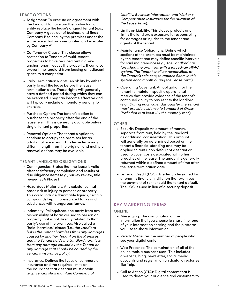#### LEASE OPTIONS

- Assignment: To execute an agreement with the landlord to have another individual or entity replace the lease's original tenant (e.g., Company A goes out of business and finds Company B to occupy the premises under the same lease that was negotiated and executed by Company A).
- Co-Tenancy Clause: This clause allows protection to Tenants of multi-tenant properties to have reduced rent if a key/ anchor tenant leaves the property. It can also prevent the landlord from leasing an adjacent space to a competitor.
- Early Termination Rights: An ability by either party to exit the lease before the lease termination date. These rights will generally have a defined period during which they can be exercised. They can become effective and will typically include a monetary penalty to exercise.
- Purchase Option: The tenant's option to purchase the property after the end of the lease term. This is generally available onlyin single-tenant properties.
- Renewal Options: The tenant's option to continue to occupy the premises for an additional lease term. This lease term may differ in length from the original, and multiple renewal options may be available.

#### TENANT LANDLORD OBLIGATIONS

- Contingencies: States that the lease is valid after satisfactory completion and results of due diligence items (e.g., survey review, title review, ESA Phase I)
- Hazardous Materials: Any substance that poses risk of injury to persons or property. This could include flammable liquids, certain compounds kept in pressurized tanks and substances with dangerous fumes.
- space to the realistic to be realistic to the stress Commercial Space Reading to the realistic to the realistic to the realistic to the realistic to the realistic to the realistic to the realistic to the realistic to the r • Indemnity: Relinquishes one party from any responsibility of harm caused to person or property that is not directly related to that party's use of the premises. Also called a "hold-harmless" clause (i.e., the *Landlord holds the Tenant harmless from any damages caused by another Tenant on the Premises, and the Tenant holds the Landlord harmless from any damage caused by the Tenant or any damage that should be caused by the Tenant's insurance policy*)
	- Insurance: Defines the types of commercial insurance and the required limits on the insurance that a tenant must obtain (e.g., *Tenant shall maintain Commercial*

*Liability, Business Interruption and Worker's Compensation Insurance for the duration of the Lease Term*).

- Limits on Liability: This clause protects and limits the landlord's exposure to responsibility for damages or injuries to the tenant and agents of the tenant.
- Maintenance Obligations: Define which sections of the premises must be maintained by the tenant and may define specific intervals for said maintenance (e.g., *The Landlord has furnished the premises with a forced-air HVAC system. The Tenant shall be responsible, at the Tenant's sole cost, to replace filters in this system each month during the Lease Term*).
- Operating Covenant: An obligation for the tenant to maintain specific operational metrics that provide evidence of the tenant's continued ability to pay rent to the landlord (e.g., *During each calendar quarter the Tenant must provide evidence to Landlord of Gross Profit that is at least 10x the monthly rent.*)

#### **OTHER**

- Security Deposit: An amount of money, separate from rent, held by the landlord as additional consideration. This amount will generally be determined based on the tenant's financial standing and may be applied to rent upon default of a tenant or used to cover costs associated with other breaches of the lease. The amount is generally returned within a defined amount of time after the lease termination date.
- Letter of Credit (LOC): A letter undersigned by a tenant's financial institution that promises the payment of rent should the tenant default. The LOC is used in lieu of a security deposit.

### KEY MARKETING TERMS

#### ONLINE

- Messaging: The combination of the information that you choose to share, the tone of your information sharing and the platform you use to share information.
- Reach: Measures the number of people who see your digital content.
- Web Presence: The combination of all of the online tools a business uses. This includes a website, blog, newsletter, social media accounts and registration on digital directories like Yelp.
- Call to Action (CTA): Digital content that is used to direct your audience and customers to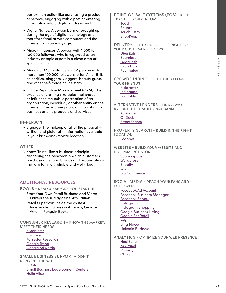perform an action like purchasing a product or service, engaging with a post or entering information into a digital address book.

- Digital Native: A person born or brought up during the age of digital technology and therefore familiar with computers and the internet from an early age.
- Micro-Influencer: A person with 1,000 to 100,000 followers who is regarded as an industry or topic expert in a niche area or specific focus.
- Mega- or Macro-Influencer: A person with more than 100,000 followers, often A- or B-list celebrities, bloggers, vloggers, beauty gurus and other self-made online stars.
- Settlem and the properties of the matter of the state of the state of the state of the state of the state of the state of the state of the state of the state of the state of the state of the state of the state of the stat • Online Reputation Management (ORM): The practice of crafting strategies that shape or influence the public perception of an organization, individual, or other entity on the internet. It helps drive public opinion about a business and its products and services.

#### IN-PERSON

- Signage: The makeup of all of the physical written and pictorial — information available in your brick-and-mortar location.
- **OTHER** 
	- Know-Trust-Like: a business principle describing the behavior in which customers purchase only from brands and organizations that are familiar, reliable and well-liked.

#### ADDITIONAL RESOURCES

BOOKS - READ UP BEFORE YOU START UP

- Start Your Own Retail Business and More; Entrepreneur Magazine; 4th Edition
- Retail Superstar: Inside the 25 Best Independent Stores in America, George Whalin, Penguin Books

CONSUMER RESEARCH - KNOW THE MARKET, MEET THEIR NEEDS [eMarketer](http://www.emarketer.com) [Envirosell](http://www.envirosell.com) [Forrester Research](http://www.forrester.com)

[Google Trend](http://www.google.com/trends) [Google AdWords](http://adwords.google.com)

SMALL BUSINESS SUPPORT - DON'T REINVENT THE WHEEL **[SCORE](https://www.score.org/)** [Small Business Development Centers](https://americassbdc.org/) [Hello Alice](https://helloalice.com/)

POINT-OF-SALE SYSTEMS (POS) - KEEP TRACK OF YOUR INCOME [Toast](https://pos.toasttab.com/) **[Square](https://squareup.com/us/en) [TouchBistro](https://www.touchbistro.com/)** [ShopKeep](https://www.shopkeep.com/)

DELIVERY - GET YOUR GOODS RIGHT TO YOUR CUSTOMERS' DOORS **[UberEats](https://www.ubereats.com/)** 

**[Seamless](https://www.seamless.com/)** [DoorDash](https://www.doordash.com/en-US) [Grub Hub](https://www.grubhub.com/) **[Postmates](https://postmates.com/)** 

CROWDFUNDING - GET FUNDS FROM YOUR FRIENDS [Kickstarter](https://www.kickstarter.com/) [Indiegogo](https://www.indiegogo.com/) [Fundable](https://www.fundable.com/)

ALTERNATIVE LENDERS - FIND A WAY AROUND THE TRADITIONAL BANKS [Kabbage](https://www.kabbage.com/) [OnDeck](https://www.ondeck.com/) **[StreetShares](https://www.streetshares.com/)** 

PROPERTY SEARCH - BUILD IN THE RIGHT LOCATION **[LoopNet](http://loopnet.com)** 

WEBSITE - BUILD YOUR WEBSITE AND E-COMMERCE STORE

**[Squarespace](https://www.squarespace.com/) [Wordpress](https://wordpress.com/)** [Shopify](https://www.shopify.com/) [Wix](https://www.wix.com/) [Big Commerce](https://www.bigcommerce.com/)

SOCIAL MEDIA - REACH YOUR FANS AND **FOLLOWERS** 

[Facebook Ad Account](https://www.facebook.com/business/help/910137316041095?id=420299598837059) [Facebook Business Manager](https://www.facebook.com/business/help/1710077379203657?id=180505742745347) [Facebook Shops](https://www.facebook.com/business/shops?content_id=aKsqDbq8i4G0XhE&ref=sem_smb&utm_source=GOOGLE&utm_medium=fbsmbsem&utm_campaign=PFX_SEM_G_FBShops_US_EN_Brand_BMM_Desktop&utm_content=Facebook-eCommerce_Evaluating_O2O&kenid=_k_CjwKCAiAq8f-BRBtEiwAGr3DgQq0waKEIXb6Ps8HTaZB3-DWDBHo2suz0nezMeadYF4XYT_g6xFZxRoCv5cQAvD_BwE_k_&utm_term=%2Bfacebook%20ecommerce&utm_ct=O2O&gclid=CjwKCAiAq8f-BRBtEiwAGr3DgQq0waKEIXb6Ps8HTaZB3-DWDBHo2suz0nezMeadYF4XYT_g6xFZxRoCv5cQAvD_BwE)  [Instagram](http://www.instagram.com) [Instagram Shopping](https://business.instagram.com/shopping/holiday?content_id=BpVS8ktQpewnmbY&ref=sem_smb&utm_source=GOOGLE&utm_medium=fbsmbsem&utm_campaign=PFX_SEM_G_IGShops_US_EN_Brand_BMM_Desktop&utm_content=Instagram-Store_Evaluating_IG-Holiday&kenid=_k_CjwKCAiAq8f-BRBtEiwAGr3DgeA547_1Kknc9TT0R-GI-5lBPtjLv2vBlvXWd97cJSL3aDQ8HgE0qBoC314QAvD_BwE_k_&utm_term=%2Binstagram%20%2Bstore&utm_ct=EVG&gclid=CjwKCAiAq8f-BRBtEiwAGr3DgeA547_1Kknc9TT0R-GI-5lBPtjLv2vBlvXWd97cJSL3aDQ8HgE0qBoC314QAvD_BwE) [Google Business Listing](https://www.google.com/business/) [Google For Retail](https://www.google.com/retail/get-started/) [Yelp](https://biz.yelp.com/support/claiming) [Bing Places](https://www.bingplaces.com/) [Linkedin Business](https://www.linkedin.com/help/linkedin/topics/6227/6228/710)

ANALYTICS - OPTIMIZE YOUR WEB PRESENCE **[HootSuite](https://hootsuite.com/)** [MixPanel](https://mixpanel.com/) [Parse.ly](https://www.parse.ly/) **[Clicky](https://clicky.com/)**